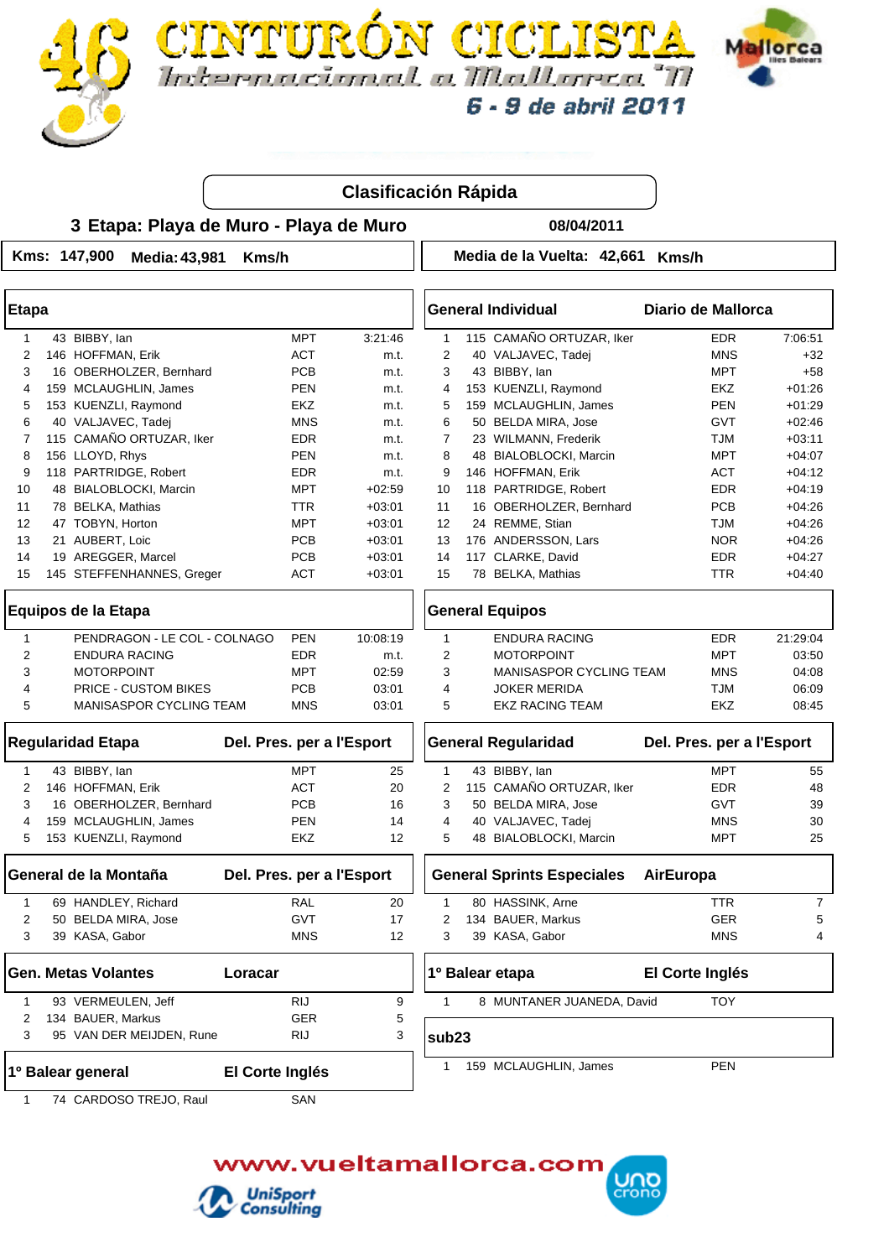





# **Clasificación Rápida**

#### **3 Playa de Muro - Playa de Muro Etapa: 08/04/2011**

**Kms: 147,900 Media:43,981 Kms/h Media de la Vuelta: 42,661 Kms/h**

| <b>Etapa</b>        |  |                              |                           |            |          |                                                         |     | <b>General Individual</b>         | Diario de Mallorca |                |
|---------------------|--|------------------------------|---------------------------|------------|----------|---------------------------------------------------------|-----|-----------------------------------|--------------------|----------------|
| 1                   |  | 43 BIBBY, lan                |                           | <b>MPT</b> | 3:21:46  | 1                                                       |     | 115 CAMAÑO ORTUZAR. Iker          | <b>EDR</b>         | 7:06:51        |
| 2                   |  | 146 HOFFMAN, Erik            |                           | <b>ACT</b> | m.t.     | 2                                                       |     | 40 VALJAVEC, Tadej                | <b>MNS</b>         | +32            |
| 3                   |  | 16 OBERHOLZER, Bernhard      |                           | <b>PCB</b> | m.t.     | 3                                                       |     | 43 BIBBY, lan                     | <b>MPT</b>         | $+58$          |
| 4                   |  | 159 MCLAUGHLIN, James        |                           | <b>PEN</b> | m.t.     | 4                                                       |     | 153 KUENZLI, Raymond              | EKZ                | $+01:26$       |
| 5                   |  | 153 KUENZLI, Raymond         |                           | EKZ        | m.t.     | 5                                                       |     | 159 MCLAUGHLIN, James             | PEN                | $+01:29$       |
| 6                   |  | 40 VALJAVEC, Tadej           |                           | <b>MNS</b> | m.t.     | 6                                                       |     | 50 BELDA MIRA, Jose               | GVT                | $+02:46$       |
| 7                   |  | 115 CAMAÑO ORTUZAR, Iker     |                           | <b>EDR</b> | m.t.     | 7                                                       |     | 23 WILMANN, Frederik              | <b>TJM</b>         | $+03:11$       |
| 8                   |  | 156 LLOYD, Rhys              |                           | <b>PEN</b> | m.t.     | 8                                                       |     | 48 BIALOBLOCKI, Marcin            | <b>MPT</b>         | $+04:07$       |
| 9                   |  | 118 PARTRIDGE, Robert        |                           | <b>EDR</b> | m.t.     | 9                                                       |     | 146 HOFFMAN, Erik                 | ACT                | $+04:12$       |
| 10                  |  | 48 BIALOBLOCKI, Marcin       |                           | <b>MPT</b> | $+02:59$ | 10                                                      |     | 118 PARTRIDGE, Robert             | EDR                | $+04:19$       |
| 11                  |  | 78 BELKA, Mathias            |                           | <b>TTR</b> | $+03:01$ | 11                                                      |     | 16 OBERHOLZER, Bernhard           | <b>PCB</b>         | $+04:26$       |
| 12                  |  | 47 TOBYN, Horton             |                           | <b>MPT</b> | $+03:01$ | 12                                                      |     | 24 REMME, Stian                   | <b>TJM</b>         | $+04:26$       |
| 13                  |  | 21 AUBERT, Loic              |                           | <b>PCB</b> | $+03:01$ | 13                                                      |     | 176 ANDERSSON, Lars               | <b>NOR</b>         | $+04:26$       |
| 14                  |  | 19 AREGGER, Marcel           |                           | <b>PCB</b> | $+03:01$ | 14                                                      |     | 117 CLARKE, David                 | EDR                | $+04:27$       |
| 15                  |  | 145 STEFFENHANNES, Greger    |                           | ACT        | $+03:01$ | 15                                                      |     | 78 BELKA, Mathias                 | TTR                | $+04:40$       |
| Equipos de la Etapa |  |                              |                           |            |          |                                                         |     | <b>General Equipos</b>            |                    |                |
| $\mathbf{1}$        |  | PENDRAGON - LE COL - COLNAGO |                           | <b>PEN</b> | 10:08:19 | $\mathbf{1}$                                            |     | <b>ENDURA RACING</b>              | <b>EDR</b>         | 21:29:04       |
| 2                   |  | <b>ENDURA RACING</b>         |                           | <b>EDR</b> | m.t.     | 2                                                       |     | <b>MOTORPOINT</b>                 | <b>MPT</b>         | 03:50          |
| 3                   |  | <b>MOTORPOINT</b>            |                           | <b>MPT</b> | 02:59    | 3                                                       |     | MANISASPOR CYCLING TEAM           | <b>MNS</b>         | 04:08          |
| 4                   |  | PRICE - CUSTOM BIKES         |                           | <b>PCB</b> | 03:01    | 4                                                       |     | <b>JOKER MERIDA</b>               | <b>TJM</b>         | 06:09          |
| 5                   |  | MANISASPOR CYCLING TEAM      |                           | <b>MNS</b> | 03:01    | 5                                                       |     | <b>EKZ RACING TEAM</b>            | EKZ                | 08:45          |
|                     |  | <b>Regularidad Etapa</b>     | Del. Pres. per a l'Esport |            |          | <b>General Regularidad</b><br>Del. Pres. per a l'Esport |     |                                   |                    |                |
| $\mathbf{1}$        |  | 43 BIBBY, lan                |                           | <b>MPT</b> | 25       | $\mathbf{1}$                                            |     | 43 BIBBY, lan                     | <b>MPT</b>         | 55             |
| 2                   |  | 146 HOFFMAN, Erik            |                           | <b>ACT</b> | 20       | 2                                                       |     | 115 CAMAÑO ORTUZAR, Iker          | <b>EDR</b>         | 48             |
| 3                   |  | 16 OBERHOLZER, Bernhard      |                           | <b>PCB</b> | 16       | 3                                                       |     | 50 BELDA MIRA, Jose               | <b>GVT</b>         | 39             |
| 4                   |  | 159 MCLAUGHLIN, James        |                           | <b>PEN</b> | 14       | 4                                                       |     | 40 VALJAVEC, Tadej                | <b>MNS</b>         | 30             |
| 5                   |  | 153 KUENZLI, Raymond         |                           | <b>EKZ</b> | 12       | 5                                                       |     | 48 BIALOBLOCKI, Marcin            | <b>MPT</b>         | 25             |
|                     |  | General de la Montaña        | Del. Pres. per a l'Esport |            |          |                                                         |     | <b>General Sprints Especiales</b> | AirEuropa          |                |
| 1                   |  | 69 HANDLEY, Richard          |                           | <b>RAL</b> | 20       | 1                                                       |     | 80 HASSINK, Arne                  | <b>TTR</b>         | $\overline{7}$ |
| 2                   |  | 50 BELDA MIRA, Jose          |                           | <b>GVT</b> | 17       | 2                                                       | 134 | <b>BAUER, Markus</b>              | <b>GER</b>         | 5              |
| 3                   |  | 39 KASA, Gabor               |                           | <b>MNS</b> | 12       | 3                                                       |     | 39 KASA, Gabor                    | <b>MNS</b>         | 4              |
|                     |  | <b>Gen. Metas Volantes</b>   | Loracar                   |            |          |                                                         |     | 1º Balear etapa                   | El Corte Inglés    |                |
| 1                   |  | 93 VERMEULEN, Jeff           |                           | <b>RIJ</b> | 9        | $\mathbf{1}$                                            |     | 8 MUNTANER JUANEDA, David         | <b>TOY</b>         |                |
| 2                   |  | 134 BAUER, Markus            |                           | GER        | 5        |                                                         |     |                                   |                    |                |
| 3                   |  | 95 VAN DER MEIJDEN, Rune     |                           | <b>RIJ</b> | 3        | sub <sub>23</sub>                                       |     |                                   |                    |                |
|                     |  | 1º Balear general            | El Corte Inglés           |            |          | 1                                                       |     | 159 MCLAUGHLIN, James             | <b>PEN</b>         |                |
| 1                   |  | 74 CARDOSO TREJO, Raul       |                           | SAN        |          |                                                         |     |                                   |                    |                |

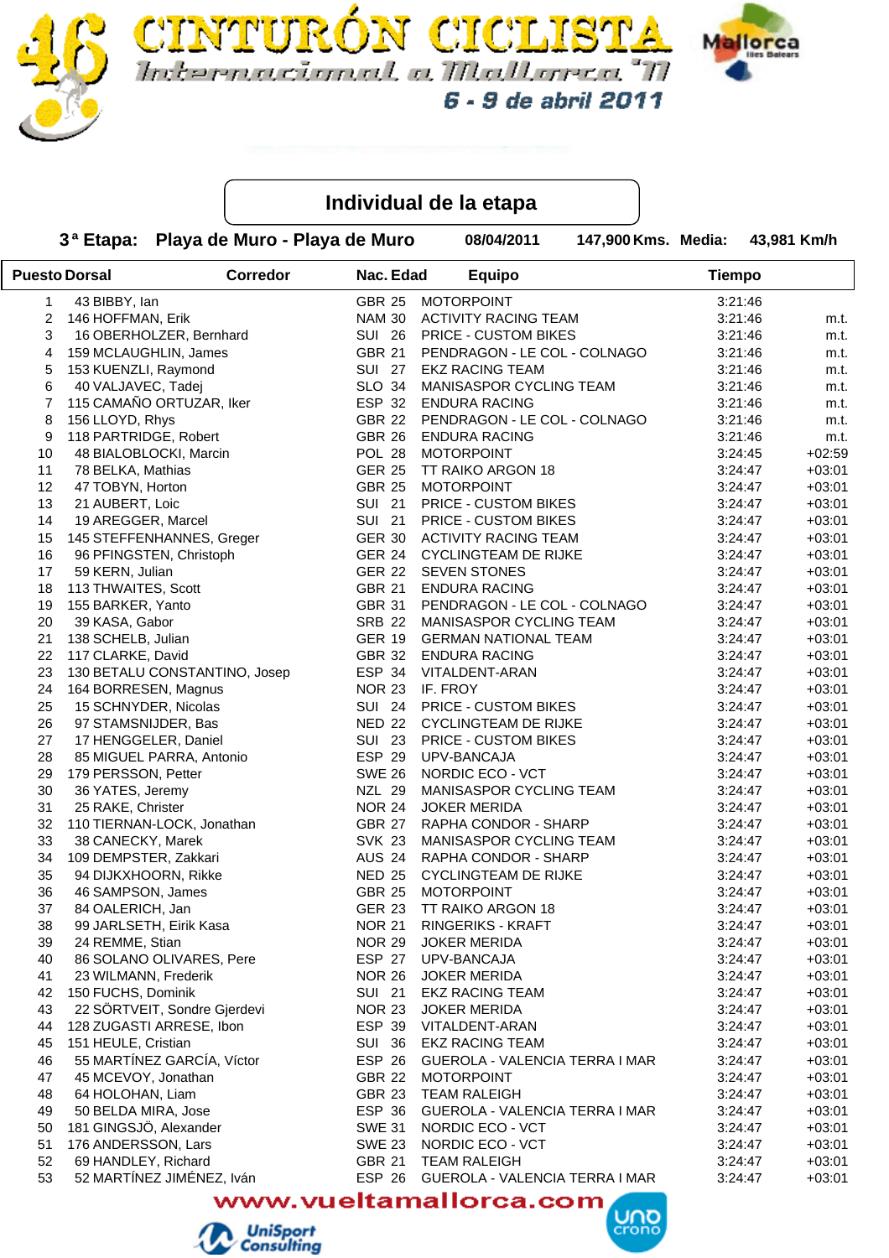

**FURON CICLI** dernacional a Mallarea "M 6 - 9 de abril 2011



## **Individual de la etapa**

 **3 Playa de Muro - Playa de Muro ª Etapa: 08/04/2011 Media: Km/h 147,900 Kms. Media:** 

| <b>Puesto Dorsal</b> |                                                  | <b>Corredor</b> | Nac. Edad         |          | <b>Equipo</b>                  | <b>Tiempo</b> |          |
|----------------------|--------------------------------------------------|-----------------|-------------------|----------|--------------------------------|---------------|----------|
| $\mathbf{1}$         | 43 BIBBY, Ian                                    |                 | GBR 25 MOTORPOINT |          |                                | 3:21:46       |          |
| 2                    | 146 HOFFMAN, Erik                                |                 |                   |          | NAM 30 ACTIVITY RACING TEAM    | 3:21:46       | m.t.     |
| 3                    | 16 OBERHOLZER, Bernhard                          |                 | SUI 26            |          | PRICE - CUSTOM BIKES           | 3:21:46       | m.t.     |
| 4                    | 159 MCLAUGHLIN, James                            |                 | <b>GBR 21</b>     |          | PENDRAGON - LE COL - COLNAGO   | 3:21:46       | m.t.     |
| 5                    | 153 KUENZLI, Raymond                             |                 | <b>SUI 27</b>     |          | <b>EKZ RACING TEAM</b>         | 3:21:46       | m.t.     |
| 6                    | 40 VALJAVEC, Tadej                               |                 | <b>SLO 34</b>     |          | MANISASPOR CYCLING TEAM        | 3:21:46       | m.t.     |
| $\overline{7}$       | 115 CAMAÑO ORTUZAR, Iker                         |                 | ESP 32            |          | <b>ENDURA RACING</b>           | 3:21:46       | m.t.     |
| 8                    | 156 LLOYD, Rhys                                  |                 | <b>GBR 22</b>     |          | PENDRAGON - LE COL - COLNAGO   | 3:21:46       | m.t.     |
| 9                    | 118 PARTRIDGE, Robert                            |                 | <b>GBR 26</b>     |          | <b>ENDURA RACING</b>           | 3:21:46       | m.t.     |
| 10                   | 48 BIALOBLOCKI, Marcin                           |                 | POL 28            |          | <b>MOTORPOINT</b>              | 3:24:45       | $+02:59$ |
| 11                   | 78 BELKA, Mathias                                |                 | <b>GER 25</b>     |          | TT RAIKO ARGON 18              | 3:24:47       | $+03:01$ |
| 12                   | 47 TOBYN, Horton                                 |                 | <b>GBR 25</b>     |          | <b>MOTORPOINT</b>              | 3:24:47       | $+03:01$ |
| 13                   | 21 AUBERT, Loic                                  |                 | <b>SUI 21</b>     |          | PRICE - CUSTOM BIKES           | 3:24:47       | $+03:01$ |
| 14                   | 19 AREGGER, Marcel                               |                 | <b>SUI 21</b>     |          | PRICE - CUSTOM BIKES           | 3:24:47       | $+03:01$ |
| 15                   | 145 STEFFENHANNES, Greger                        |                 | <b>GER 30</b>     |          | ACTIVITY RACING TEAM           | 3:24:47       | $+03:01$ |
| 16                   | 96 PFINGSTEN, Christoph                          |                 | GER 24            |          | <b>CYCLINGTEAM DE RIJKE</b>    | 3:24:47       | $+03:01$ |
| 17                   | 59 KERN, Julian                                  |                 | <b>GER 22</b>     |          | <b>SEVEN STONES</b>            | 3:24:47       | $+03:01$ |
| 18                   | 113 THWAITES, Scott                              |                 | <b>GBR 21</b>     |          | <b>ENDURA RACING</b>           | 3:24:47       | $+03:01$ |
|                      |                                                  |                 |                   |          |                                |               |          |
| 19                   | 155 BARKER, Yanto                                |                 | <b>GBR 31</b>     |          | PENDRAGON - LE COL - COLNAGO   | 3:24:47       | $+03:01$ |
| 20                   | 39 KASA, Gabor                                   |                 | <b>SRB 22</b>     |          | MANISASPOR CYCLING TEAM        | 3:24:47       | $+03:01$ |
| 21                   | 138 SCHELB, Julian                               |                 | <b>GER 19</b>     |          | <b>GERMAN NATIONAL TEAM</b>    | 3:24:47       | $+03:01$ |
| 22                   | 117 CLARKE, David                                |                 | GBR 32            |          | <b>ENDURA RACING</b>           | 3:24:47       | $+03:01$ |
| 23                   | 130 BETALU CONSTANTINO, Josep                    |                 | ESP 34            |          | VITALDENT-ARAN                 | 3:24:47       | $+03:01$ |
| 24                   | 164 BORRESEN, Magnus                             |                 | <b>NOR 23</b>     | IF. FROY |                                | 3:24:47       | $+03:01$ |
| 25                   | 15 SCHNYDER, Nicolas                             |                 | <b>SUI 24</b>     |          | PRICE - CUSTOM BIKES           | 3:24:47       | $+03:01$ |
| 26                   | 97 STAMSNIJDER, Bas                              |                 |                   |          | NED 22 CYCLINGTEAM DE RIJKE    | 3:24:47       | $+03:01$ |
| 27                   | 17 HENGGELER, Daniel                             |                 | <b>SUI 23</b>     |          | <b>PRICE - CUSTOM BIKES</b>    | 3:24:47       | $+03:01$ |
| 28                   | 85 MIGUEL PARRA, Antonio                         |                 | ESP 29            |          | UPV-BANCAJA                    | 3:24:47       | $+03:01$ |
| 29                   | 179 PERSSON, Petter                              |                 | <b>SWE 26</b>     |          | NORDIC ECO - VCT               | 3:24:47       | $+03:01$ |
| 30                   | 36 YATES, Jeremy                                 |                 | NZL 29            |          | MANISASPOR CYCLING TEAM        | 3:24:47       | $+03:01$ |
| 31                   | 25 RAKE, Christer                                |                 | <b>NOR 24</b>     |          | <b>JOKER MERIDA</b>            | 3:24:47       | $+03:01$ |
| 32                   | 110 TIERNAN-LOCK, Jonathan                       |                 | <b>GBR 27</b>     |          | RAPHA CONDOR - SHARP           | 3:24:47       | $+03:01$ |
| 33                   | 38 CANECKY, Marek                                |                 | <b>SVK 23</b>     |          | MANISASPOR CYCLING TEAM        | 3:24:47       | $+03:01$ |
| 34                   | 109 DEMPSTER, Zakkari                            |                 | <b>AUS 24</b>     |          | RAPHA CONDOR - SHARP           | 3:24:47       | $+03:01$ |
| 35                   | 94 DIJKXHOORN, Rikke                             |                 | <b>NED 25</b>     |          | <b>CYCLINGTEAM DE RIJKE</b>    | 3:24:47       | $+03:01$ |
| 36                   | 46 SAMPSON, James                                |                 | <b>GBR 25</b>     |          | <b>MOTORPOINT</b>              | 3:24:47       | $+03:01$ |
| 37                   | 84 OALERICH, Jan                                 |                 | <b>GER 23</b>     |          | TT RAIKO ARGON 18              | 3:24:47       | $+03:01$ |
| 38                   | 99 JARLSETH, Eirik Kasa                          |                 | <b>NOR 21</b>     |          | <b>RINGERIKS - KRAFT</b>       | 3:24:47       | $+03:01$ |
| 39                   | 24 REMME, Stian                                  |                 | <b>NOR 29</b>     |          | <b>JOKER MERIDA</b>            | 3:24:47       | $+03:01$ |
| 40                   | 86 SOLANO OLIVARES, Pere                         |                 | ESP 27            |          | UPV-BANCAJA                    | 3:24:47       | $+03:01$ |
| 41                   | 23 WILMANN, Frederik                             |                 | <b>NOR 26</b>     |          | <b>JOKER MERIDA</b>            | 3:24:47       | $+03:01$ |
| 42                   | 150 FUCHS, Dominik                               |                 | <b>SUI 21</b>     |          | <b>EKZ RACING TEAM</b>         | 3:24:47       | $+03:01$ |
| 43                   | 22 SÖRTVEIT, Sondre Gjerdevi                     |                 | <b>NOR 23</b>     |          | <b>JOKER MERIDA</b>            | 3:24:47       | $+03:01$ |
| 44                   | 128 ZUGASTI ARRESE, Ibon                         |                 | ESP 39            |          | VITALDENT-ARAN                 | 3:24:47       | $+03:01$ |
| 45                   | 151 HEULE, Cristian                              |                 | <b>SUI 36</b>     |          | <b>EKZ RACING TEAM</b>         | 3:24:47       | $+03:01$ |
| 46                   | 55 MARTÍNEZ GARCÍA, Víctor                       |                 | ESP 26            |          | GUEROLA - VALENCIA TERRA I MAR | 3:24:47       | $+03:01$ |
| 47                   | 45 MCEVOY, Jonathan                              |                 | <b>GBR 22</b>     |          | <b>MOTORPOINT</b>              | 3:24:47       | $+03:01$ |
| 48                   | 64 HOLOHAN, Liam                                 |                 | <b>GBR 23</b>     |          | <b>TEAM RALEIGH</b>            | 3:24:47       | $+03:01$ |
| 49                   | 50 BELDA MIRA, Jose                              |                 | ESP 36            |          | GUEROLA - VALENCIA TERRA I MAR | 3:24:47       | $+03:01$ |
| 50                   | 181 GINGSJÖ, Alexander                           |                 | <b>SWE 31</b>     |          | NORDIC ECO - VCT               | 3:24:47       | $+03:01$ |
| 51                   | 176 ANDERSSON, Lars                              |                 | <b>SWE 23</b>     |          | NORDIC ECO - VCT               |               |          |
|                      |                                                  |                 |                   |          |                                | 3:24:47       | $+03:01$ |
| 52                   | 69 HANDLEY, Richard<br>52 MARTÍNEZ JIMÉNEZ, Iván |                 | <b>GBR 21</b>     |          | <b>TEAM RALEIGH</b>            | 3:24:47       | $+03:01$ |
| 53                   |                                                  |                 | ESP 26            |          | GUEROLA - VALENCIA TERRA I MAR | 3:24:47       | $+03:01$ |



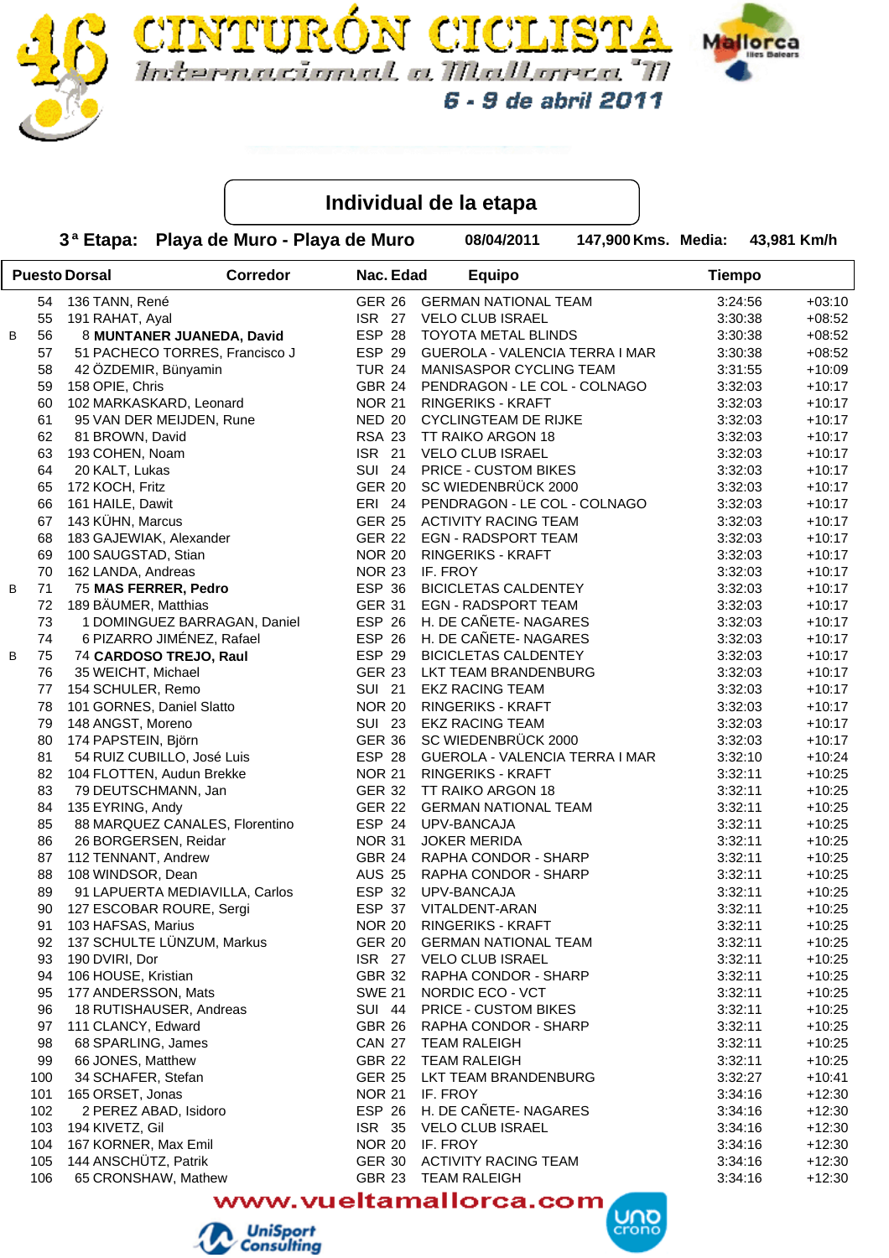

allorca dernacional a Mallarea "M 6 - 9 de abril 2011

#### **Individual de la etapa**

IURON CICLI

 **3 Playa de Muro - Playa de Muro ª Etapa: 08/04/2011 Media: Km/h**

 **147,900 Kms. Media:** 

|   | <b>Puesto Dorsal</b> |                                              | <b>Corredor</b> | Nac. Edad                      | <b>Equipo</b>                               | <b>Tiempo</b> |                      |  |
|---|----------------------|----------------------------------------------|-----------------|--------------------------------|---------------------------------------------|---------------|----------------------|--|
|   |                      | 54 136 TANN, René                            |                 | <b>GER 26</b>                  | <b>GERMAN NATIONAL TEAM</b>                 | 3:24:56       | $+03:10$             |  |
|   | 55                   | 191 RAHAT, Ayal                              |                 | <b>ISR 27</b>                  | <b>VELO CLUB ISRAEL</b>                     | 3:30:38       | $+08:52$             |  |
| B | 56                   | 8 MUNTANER JUANEDA, David                    |                 | ESP 28                         | TOYOTA METAL BLINDS                         | 3:30:38       | $+08:52$             |  |
|   | 57                   | 51 PACHECO TORRES, Francisco J               |                 | ESP 29                         | GUEROLA - VALENCIA TERRA I MAR              | 3:30:38       | $+08:52$             |  |
|   | 58                   | 42 ÖZDEMIR, Bünyamin                         |                 | <b>TUR 24</b>                  | MANISASPOR CYCLING TEAM                     | 3:31:55       | $+10:09$             |  |
|   | 59                   | 158 OPIE, Chris                              |                 | <b>GBR 24</b>                  | PENDRAGON - LE COL - COLNAGO                | 3:32:03       | $+10:17$             |  |
|   | 60                   | 102 MARKASKARD, Leonard                      |                 | <b>NOR 21</b>                  | RINGERIKS - KRAFT                           | 3:32:03       | $+10:17$             |  |
|   | 61                   | 95 VAN DER MEIJDEN, Rune                     |                 | <b>NED 20</b>                  | <b>CYCLINGTEAM DE RIJKE</b>                 | 3:32:03       | $+10:17$             |  |
|   | 62                   | 81 BROWN, David                              |                 | <b>RSA 23</b>                  | TT RAIKO ARGON 18                           | 3:32:03       | $+10:17$             |  |
|   | 63                   | 193 COHEN, Noam                              |                 | <b>ISR 21</b>                  | <b>VELO CLUB ISRAEL</b>                     | 3:32:03       | $+10:17$             |  |
|   | 64                   | 20 KALT, Lukas                               |                 |                                | SUI 24 PRICE - CUSTOM BIKES                 | 3:32:03       | $+10:17$             |  |
|   | 65                   | 172 KOCH, Fritz                              |                 |                                | GER 20 SC WIEDENBRÜCK 2000                  | 3:32:03       | $+10:17$             |  |
|   | 66                   | 161 HAILE, Dawit                             |                 | ERI 24                         | PENDRAGON - LE COL - COLNAGO                | 3:32:03       | $+10:17$             |  |
|   | 67                   | 143 KÜHN, Marcus                             |                 | <b>GER 25</b>                  | <b>ACTIVITY RACING TEAM</b>                 | 3:32:03       | $+10:17$             |  |
|   | 68                   | 183 GAJEWIAK, Alexander                      |                 | <b>GER 22</b>                  | <b>EGN - RADSPORT TEAM</b>                  | 3:32:03       | $+10:17$             |  |
|   | 69                   | 100 SAUGSTAD, Stian                          |                 | <b>NOR 20</b>                  | <b>RINGERIKS - KRAFT</b>                    | 3:32:03       | $+10:17$             |  |
|   | 70                   | 162 LANDA, Andreas                           |                 | <b>NOR 23</b>                  | IF. FROY                                    | 3:32:03       | $+10:17$             |  |
| B | 71                   | 75 MAS FERRER, Pedro                         |                 | ESP 36                         | <b>BICICLETAS CALDENTEY</b>                 | 3:32:03       | $+10:17$             |  |
|   | 72                   | 189 BÄUMER, Matthias                         |                 | <b>GER 31</b>                  | EGN - RADSPORT TEAM                         | 3:32:03       | $+10:17$             |  |
|   | 73                   | 1 DOMINGUEZ BARRAGAN, Daniel                 |                 | ESP 26                         | H. DE CAÑETE- NAGARES                       | 3:32:03       | $+10:17$             |  |
|   | 74                   | 6 PIZARRO JIMÉNEZ, Rafael                    |                 | ESP 26                         | H. DE CAÑETE- NAGARES                       | 3:32:03       | $+10:17$             |  |
| B | 75                   | 74 CARDOSO TREJO, Raul                       |                 | ESP 29                         | <b>BICICLETAS CALDENTEY</b>                 | 3:32:03       | $+10:17$             |  |
|   | 76                   | 35 WEICHT, Michael                           |                 | <b>GER 23</b>                  | LKT TEAM BRANDENBURG                        | 3:32:03       | $+10:17$             |  |
|   | 77                   | 154 SCHULER, Remo                            |                 | <b>SUI 21</b>                  | <b>EKZ RACING TEAM</b>                      | 3:32:03       | $+10:17$             |  |
|   | 78                   | 101 GORNES, Daniel Slatto                    |                 | <b>NOR 20</b>                  | <b>RINGERIKS - KRAFT</b>                    | 3:32:03       | $+10:17$             |  |
|   | 79                   | 148 ANGST, Moreno                            |                 | <b>SUI 23</b>                  | <b>EKZ RACING TEAM</b>                      | 3:32:03       | $+10:17$             |  |
|   | 80                   | 174 PAPSTEIN, Björn                          |                 |                                | GER 36 SC WIEDENBRÜCK 2000                  | 3:32:03       | $+10:17$             |  |
|   | 81                   | 54 RUIZ CUBILLO, José Luis                   |                 | ESP 28                         | GUEROLA - VALENCIA TERRA I MAR              | 3:32:10       | $+10:24$             |  |
|   | 82                   | 104 FLOTTEN, Audun Brekke                    |                 | <b>NOR 21</b>                  | <b>RINGERIKS - KRAFT</b>                    | 3:32:11       | $+10:25$             |  |
|   | 83                   | 79 DEUTSCHMANN, Jan                          |                 | <b>GER 32</b>                  | TT RAIKO ARGON 18                           | 3:32:11       | $+10:25$             |  |
|   | 84                   | 135 EYRING, Andy                             |                 | <b>GER 22</b>                  | <b>GERMAN NATIONAL TEAM</b>                 | 3:32:11       | $+10:25$             |  |
|   | 85                   | 88 MARQUEZ CANALES, Florentino               |                 | ESP 24                         | UPV-BANCAJA                                 | 3:32:11       | $+10:25$             |  |
|   | 86                   | 26 BORGERSEN, Reidar                         |                 | <b>NOR 31</b>                  | <b>JOKER MERIDA</b>                         | 3:32:11       | $+10:25$             |  |
|   | 87                   | 112 TENNANT, Andrew                          |                 | GBR 24                         | RAPHA CONDOR - SHARP                        | 3:32:11       | $+10:25$             |  |
|   | 88                   | 108 WINDSOR, Dean                            |                 | <b>AUS 25</b>                  | RAPHA CONDOR - SHARP                        | 3:32:11       | $+10:25$             |  |
|   | 89                   | 91 LAPUERTA MEDIAVILLA, Carlos               |                 | ESP 32                         | UPV-BANCAJA                                 | 3:32:11       | $+10:25$             |  |
|   | 90                   | 127 ESCOBAR ROURE, Sergi                     |                 | ESP 37                         | VITALDENT-ARAN                              | 3:32:11       | $+10:25$             |  |
|   | 91                   | 103 HAFSAS, Marius                           |                 | <b>NOR 20</b>                  | RINGERIKS - KRAFT                           | 3:32:11       | $+10:25$             |  |
|   | 92                   | 137 SCHULTE LÜNZUM, Markus                   |                 | GER 20                         | <b>GERMAN NATIONAL TEAM</b>                 | 3:32:11       | $+10:25$             |  |
|   | 93                   | 190 DVIRI, Dor                               |                 | <b>ISR 27</b>                  | <b>VELO CLUB ISRAEL</b>                     | 3:32:11       | $+10:25$             |  |
|   | 94                   | 106 HOUSE, Kristian                          |                 | <b>GBR 32</b>                  | RAPHA CONDOR - SHARP                        | 3:32:11       | $+10:25$             |  |
|   | 95                   | 177 ANDERSSON, Mats                          |                 | <b>SWE 21</b>                  | NORDIC ECO - VCT                            | 3:32:11       | $+10:25$             |  |
|   | 96                   | 18 RUTISHAUSER, Andreas                      |                 | <b>SUI 44</b>                  | PRICE - CUSTOM BIKES                        | 3:32:11       | $+10:25$             |  |
|   | 97                   | 111 CLANCY, Edward                           |                 | GBR 26                         | RAPHA CONDOR - SHARP                        | 3:32:11       | $+10:25$             |  |
|   |                      | 68 SPARLING, James                           |                 | <b>CAN 27</b>                  |                                             |               |                      |  |
|   | 98                   |                                              |                 |                                | <b>TEAM RALEIGH</b>                         | 3:32:11       | $+10:25$             |  |
|   | 99                   | 66 JONES, Matthew                            |                 | <b>GBR 22</b><br><b>GER 25</b> | <b>TEAM RALEIGH</b><br>LKT TEAM BRANDENBURG | 3:32:11       | $+10:25$             |  |
|   | 100                  | 34 SCHAFER, Stefan                           |                 | <b>NOR 21</b>                  | IF. FROY                                    | 3:32:27       | $+10:41$<br>$+12:30$ |  |
|   | 101                  | 165 ORSET, Jonas                             |                 | ESP 26                         | H. DE CAÑETE- NAGARES                       | 3:34:16       |                      |  |
|   | 102                  | 2 PEREZ ABAD, Isidoro                        |                 |                                |                                             | 3:34:16       | $+12:30$             |  |
|   | 103                  | 194 KIVETZ, Gil                              |                 | <b>ISR 35</b>                  | VELO CLUB ISRAEL                            | 3:34:16       | $+12:30$             |  |
|   | 104                  | 167 KORNER, Max Emil<br>144 ANSCHÜTZ, Patrik |                 | <b>NOR 20</b>                  | IF. FROY                                    | 3:34:16       | $+12:30$             |  |
|   | 105                  |                                              |                 | <b>GER 30</b>                  | <b>ACTIVITY RACING TEAM</b>                 | 3:34:16       | $+12:30$             |  |
|   | 106                  | 65 CRONSHAW, Mathew                          |                 | GBR 23                         | <b>TEAM RALEIGH</b>                         | 3:34:16       | $+12:30$             |  |

www.vueltamallorca.com



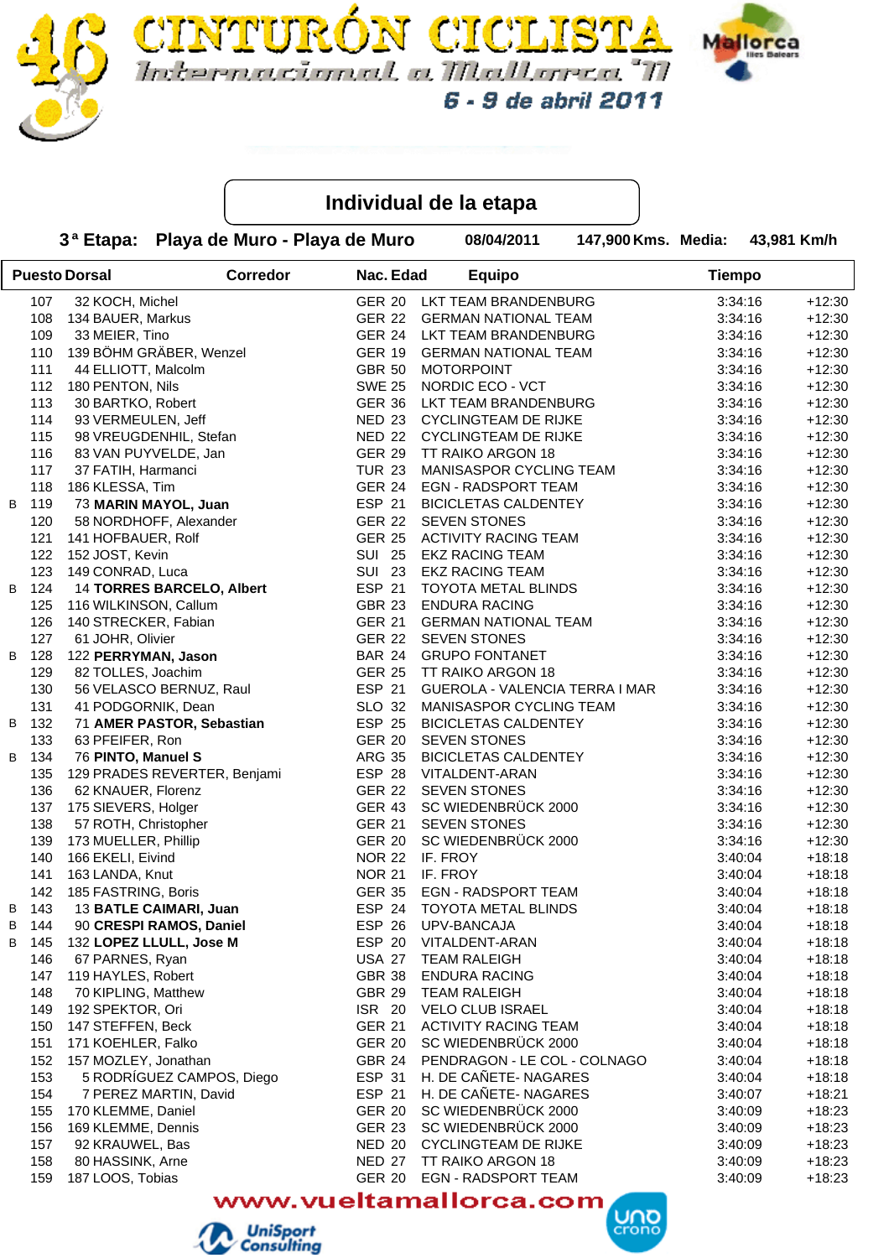



## **Individual de la etapa**

ON CICI

 **3 Playa de Muro - Playa de Muro ª Etapa: 08/04/2011 Media: Km/h**

147,900 Kms. Media: 43,981 Km/h

**UND** 

|   | <b>Puesto Dorsal</b> |                              | <b>Corredor</b> | Nac. Edad     | <b>Equipo</b>                         | <b>Tiempo</b> |          |  |
|---|----------------------|------------------------------|-----------------|---------------|---------------------------------------|---------------|----------|--|
|   | 107                  | 32 KOCH, Michel              |                 |               | GER 20 LKT TEAM BRANDENBURG           | 3:34:16       | $+12:30$ |  |
|   | 108                  | 134 BAUER, Markus            |                 |               | GER 22 GERMAN NATIONAL TEAM           | 3:34:16       | $+12:30$ |  |
|   | 109                  | 33 MEIER, Tino               |                 |               | GER 24 LKT TEAM BRANDENBURG           | 3:34:16       | $+12:30$ |  |
|   | 110                  | 139 BÖHM GRÄBER, Wenzel      |                 | <b>GER 19</b> | <b>GERMAN NATIONAL TEAM</b>           | 3:34:16       | $+12:30$ |  |
|   | 111                  | 44 ELLIOTT, Malcolm          |                 | <b>GBR 50</b> | <b>MOTORPOINT</b>                     | 3:34:16       | $+12:30$ |  |
|   | 112                  | 180 PENTON, Nils             |                 | <b>SWE 25</b> | NORDIC ECO - VCT                      | 3:34:16       | $+12:30$ |  |
|   | 113                  | 30 BARTKO, Robert            |                 |               | GER 36 LKT TEAM BRANDENBURG           | 3:34:16       | $+12:30$ |  |
|   | 114                  | 93 VERMEULEN, Jeff           |                 |               | NED 23 CYCLINGTEAM DE RIJKE           | 3:34:16       | $+12:30$ |  |
|   | 115                  | 98 VREUGDENHIL, Stefan       |                 |               | NED 22 CYCLINGTEAM DE RIJKE           | 3:34:16       | $+12:30$ |  |
|   | 116                  | 83 VAN PUYVELDE, Jan         |                 | GER 29        | TT RAIKO ARGON 18                     | 3:34:16       | $+12:30$ |  |
|   | 117                  | 37 FATIH, Harmanci           |                 | <b>TUR 23</b> | MANISASPOR CYCLING TEAM               | 3:34:16       | $+12:30$ |  |
|   | 118                  | 186 KLESSA, Tim              |                 | <b>GER 24</b> | <b>EGN - RADSPORT TEAM</b>            | 3:34:16       | $+12:30$ |  |
| B | 119                  | 73 MARIN MAYOL, Juan         |                 | ESP 21        | <b>BICICLETAS CALDENTEY</b>           | 3:34:16       | $+12:30$ |  |
|   | 120                  | 58 NORDHOFF, Alexander       |                 |               | GER 22 SEVEN STONES                   | 3:34:16       | $+12:30$ |  |
|   | 121                  | 141 HOFBAUER, Rolf           |                 |               | GER 25 ACTIVITY RACING TEAM           | 3:34:16       | $+12:30$ |  |
|   |                      | 122 152 JOST, Kevin          |                 |               | SUI 25 EKZ RACING TEAM                | 3:34:16       | $+12:30$ |  |
|   | 123                  | 149 CONRAD, Luca             |                 |               | SUI 23 EKZ RACING TEAM                | 3:34:16       | $+12:30$ |  |
| B | 124                  | 14 TORRES BARCELO, Albert    |                 | ESP 21        | <b>TOYOTA METAL BLINDS</b>            | 3:34:16       | $+12:30$ |  |
|   | 125                  | 116 WILKINSON, Callum        |                 | <b>GBR 23</b> | <b>ENDURA RACING</b>                  | 3:34:16       | $+12:30$ |  |
|   | 126                  | 140 STRECKER, Fabian         |                 | <b>GER 21</b> | <b>GERMAN NATIONAL TEAM</b>           | 3:34:16       | $+12:30$ |  |
|   | 127                  | 61 JOHR, Olivier             |                 | <b>GER 22</b> | <b>SEVEN STONES</b>                   | 3:34:16       | $+12:30$ |  |
| B | 128                  | 122 PERRYMAN, Jason          |                 | <b>BAR 24</b> | <b>GRUPO FONTANET</b>                 | 3:34:16       | $+12:30$ |  |
|   | 129                  | 82 TOLLES, Joachim           |                 |               | GER 25 TT RAIKO ARGON 18              | 3:34:16       | $+12:30$ |  |
|   | 130                  | 56 VELASCO BERNUZ, Raul      |                 | ESP 21        | <b>GUEROLA - VALENCIA TERRA I MAR</b> | 3:34:16       | $+12:30$ |  |
|   | 131                  | 41 PODGORNIK, Dean           |                 | <b>SLO 32</b> | MANISASPOR CYCLING TEAM               | 3:34:16       | $+12:30$ |  |
| В | 132                  | 71 AMER PASTOR, Sebastian    |                 | ESP 25        | <b>BICICLETAS CALDENTEY</b>           | 3:34:16       | $+12:30$ |  |
|   | 133                  | 63 PFEIFER, Ron              |                 | <b>GER 20</b> | <b>SEVEN STONES</b>                   | 3:34:16       | $+12:30$ |  |
| B | 134                  | 76 PINTO, Manuel S           |                 | <b>ARG 35</b> | <b>BICICLETAS CALDENTEY</b>           | 3:34:16       | $+12:30$ |  |
|   | 135                  | 129 PRADES REVERTER, Benjami |                 | ESP 28        | VITALDENT-ARAN                        | 3:34:16       | $+12:30$ |  |
|   | 136                  | 62 KNAUER, Florenz           |                 |               | GER 22 SEVEN STONES                   | 3:34:16       | $+12:30$ |  |
|   | 137                  | 175 SIEVERS, Holger          |                 |               | GER 43 SC WIEDENBRÜCK 2000            | 3:34:16       | $+12:30$ |  |
|   | 138                  | 57 ROTH, Christopher         |                 | <b>GER 21</b> | <b>SEVEN STONES</b>                   | 3:34:16       | $+12:30$ |  |
|   | 139                  | 173 MUELLER, Phillip         |                 |               | GER 20 SC WIEDENBRÜCK 2000            | 3:34:16       | $+12:30$ |  |
|   | 140                  | 166 EKELI, Eivind            |                 |               | NOR 22 IF. FROY                       | 3:40:04       | $+18:18$ |  |
|   | 141                  | 163 LANDA, Knut              |                 | <b>NOR 21</b> | IF. FROY                              | 3:40:04       | $+18:18$ |  |
|   | 142                  | 185 FASTRING, Boris          |                 |               | GER 35 EGN - RADSPORT TEAM            | 3:40:04       | $+18:18$ |  |
| В | 143                  | 13 BATLE CAIMARI, Juan       |                 | ESP 24        | <b>TOYOTA METAL BLINDS</b>            | 3:40:04       | $+18:18$ |  |
| В | 144                  | 90 CRESPI RAMOS, Daniel      |                 | ESP 26        | UPV-BANCAJA                           | 3:40:04       | $+18:18$ |  |
| B | 145                  | 132 LOPEZ LLULL, Jose M      |                 | ESP 20        | VITALDENT-ARAN                        | 3:40:04       | $+18:18$ |  |
|   | 146                  | 67 PARNES, Ryan              |                 | <b>USA 27</b> | <b>TEAM RALEIGH</b>                   | 3:40:04       | $+18:18$ |  |
|   | 147                  | 119 HAYLES, Robert           |                 | <b>GBR 38</b> | <b>ENDURA RACING</b>                  | 3:40:04       | $+18:18$ |  |
|   | 148                  | 70 KIPLING, Matthew          |                 | <b>GBR 29</b> | <b>TEAM RALEIGH</b>                   | 3:40:04       | $+18:18$ |  |
|   | 149                  | 192 SPEKTOR, Ori             |                 | <b>ISR 20</b> | <b>VELO CLUB ISRAEL</b>               | 3:40:04       | $+18:18$ |  |
|   | 150                  | 147 STEFFEN, Beck            |                 | <b>GER 21</b> | <b>ACTIVITY RACING TEAM</b>           | 3:40:04       | $+18:18$ |  |
|   | 151                  | 171 KOEHLER, Falko           |                 | <b>GER 20</b> | SC WIEDENBRÜCK 2000                   | 3:40:04       | $+18:18$ |  |
|   | 152                  | 157 MOZLEY, Jonathan         |                 | <b>GBR 24</b> | PENDRAGON - LE COL - COLNAGO          | 3:40:04       | $+18:18$ |  |
|   | 153                  | 5 RODRÍGUEZ CAMPOS, Diego    |                 | ESP 31        | H. DE CAÑETE- NAGARES                 | 3:40:04       | $+18:18$ |  |
|   | 154                  | 7 PEREZ MARTIN, David        |                 | <b>ESP 21</b> | H. DE CAÑETE- NAGARES                 | 3:40:07       | $+18:21$ |  |
|   | 155                  | 170 KLEMME, Daniel           |                 | <b>GER 20</b> | SC WIEDENBRÜCK 2000                   | 3:40:09       | $+18:23$ |  |
|   | 156                  | 169 KLEMME, Dennis           |                 | <b>GER 23</b> | SC WIEDENBRÜCK 2000                   | 3:40:09       | $+18:23$ |  |
|   | 157                  | 92 KRAUWEL, Bas              |                 | <b>NED 20</b> | <b>CYCLINGTEAM DE RIJKE</b>           | 3:40:09       | $+18:23$ |  |
|   | 158                  | 80 HASSINK, Arne             |                 | <b>NED 27</b> | TT RAIKO ARGON 18                     | 3:40:09       | $+18:23$ |  |
|   | 159                  | 187 LOOS, Tobias             |                 | <b>GER 20</b> | EGN - RADSPORT TEAM                   | 3:40:09       | $+18:23$ |  |
|   |                      |                              |                 |               |                                       |               |          |  |

www.vueltamallorca.com

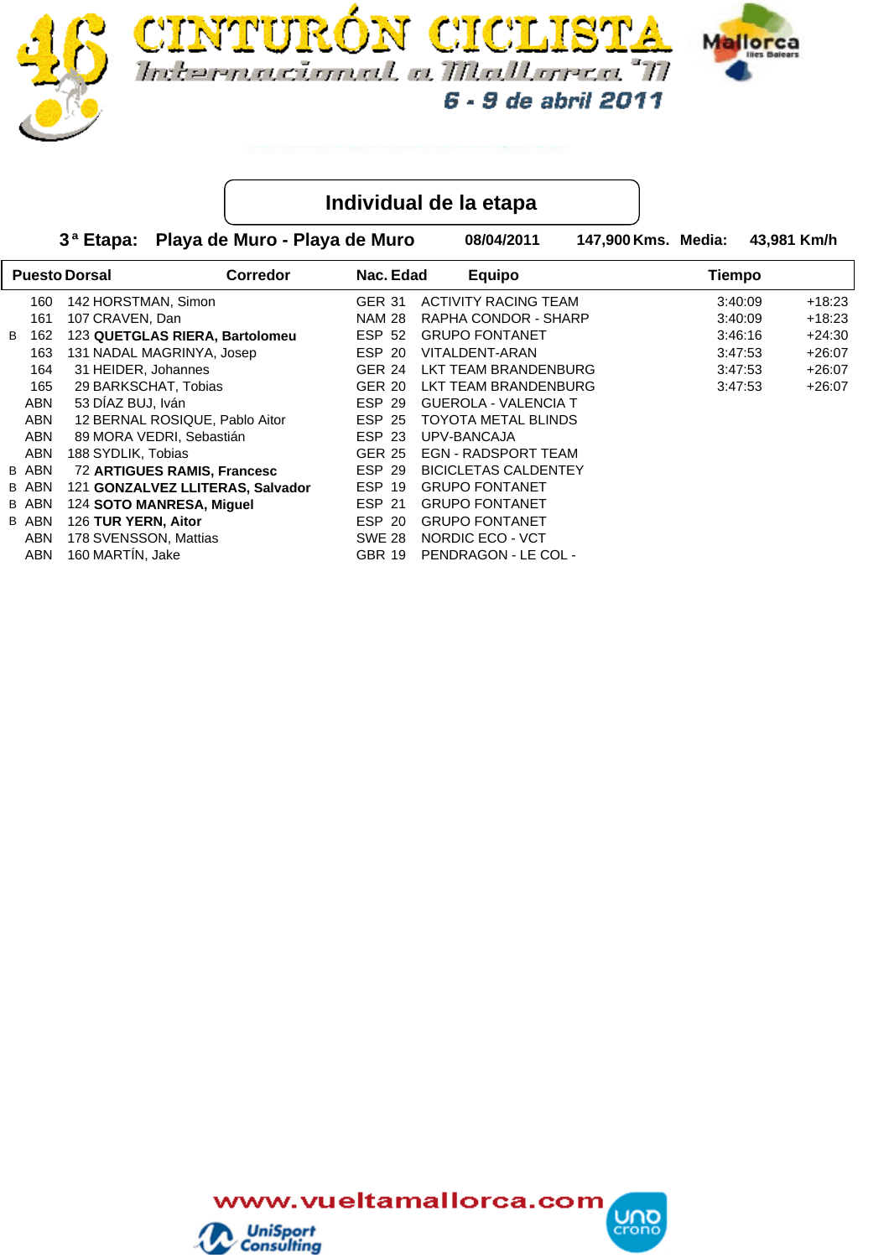



## **Individual de la etapa**

**3<sup>a</sup> Etapa: Playa de Muro - Playa de Muro**  $\frac{0.8}{0.42011}$ 

147,900 Kms. Media: 43,981 Km/h

|   |              | <b>Puesto Dorsal</b><br><b>Corredor</b> | Nac. Edad     | <b>Equipo</b>               | Tiempo  |          |
|---|--------------|-----------------------------------------|---------------|-----------------------------|---------|----------|
|   | 160          | 142 HORSTMAN, Simon                     | <b>GER 31</b> | ACTIVITY RACING TEAM        | 3:40:09 | $+18:23$ |
|   | 161          | 107 CRAVEN, Dan                         | <b>NAM 28</b> | RAPHA CONDOR - SHARP        | 3:40:09 | $+18:23$ |
| B | 162          | 123 QUETGLAS RIERA, Bartolomeu          | <b>ESP 52</b> | <b>GRUPO FONTANET</b>       | 3:46:16 | $+24:30$ |
|   | 163          | 131 NADAL MAGRINYA, Josep               | ESP 20        | VITALDENT-ARAN              | 3:47:53 | $+26:07$ |
|   | 164          | 31 HEIDER, Johannes                     | <b>GER 24</b> | LKT TEAM BRANDENBURG        | 3:47:53 | $+26:07$ |
|   | 165          | 29 BARKSCHAT, Tobias                    | <b>GER 20</b> | LKT TEAM BRANDENBURG        | 3:47:53 | $+26:07$ |
|   | ABN          | 53 DÍAZ BUJ, Iván                       | ESP 29        | <b>GUEROLA - VALENCIA T</b> |         |          |
|   | ABN          | 12 BERNAL ROSIQUE, Pablo Aitor          | <b>ESP 25</b> | <b>TOYOTA METAL BLINDS</b>  |         |          |
|   | ABN          | 89 MORA VEDRI, Sebastián                | ESP 23        | UPV-BANCAJA                 |         |          |
|   | ABN          | 188 SYDLIK, Tobias                      | <b>GER 25</b> | <b>EGN - RADSPORT TEAM</b>  |         |          |
|   | B ABN        | <b>72 ARTIGUES RAMIS, Francesc</b>      | ESP 29        | <b>BICICLETAS CALDENTEY</b> |         |          |
|   | B ABN        | 121 GONZALVEZ LLITERAS, Salvador        | <b>ESP 19</b> | <b>GRUPO FONTANET</b>       |         |          |
|   | <b>B ABN</b> | 124 SOTO MANRESA, Miguel                | <b>ESP 21</b> | <b>GRUPO FONTANET</b>       |         |          |
|   | <b>B ABN</b> | 126 TUR YERN, Aitor                     | ESP 20        | <b>GRUPO FONTANET</b>       |         |          |
|   | ABN          | 178 SVENSSON, Mattias                   | <b>SWE 28</b> | NORDIC ECO - VCT            |         |          |
|   | ABN          | 160 MARTÍN, Jake                        | <b>GBR 19</b> | PENDRAGON - LE COL -        |         |          |

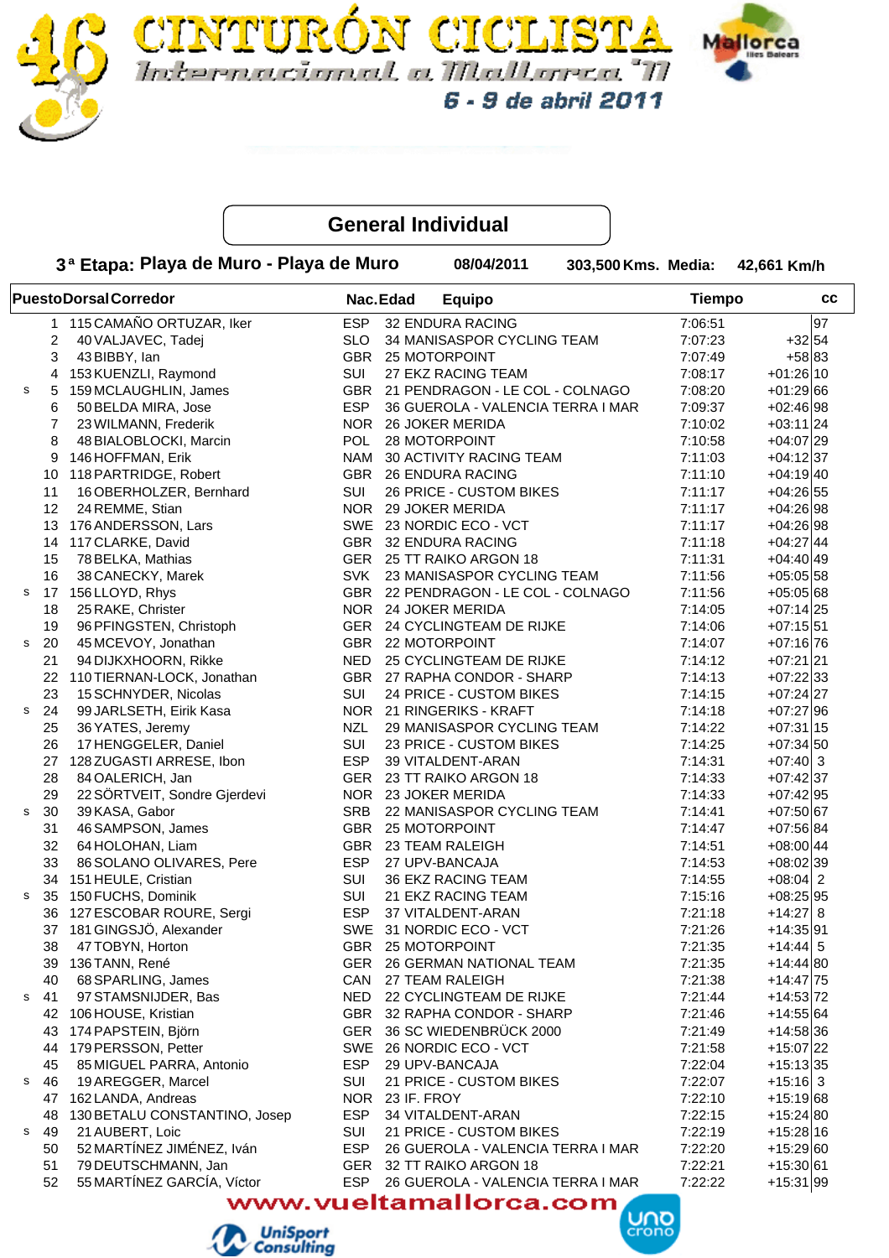



FURON CICLI

Internacional a Mallanca "M

6 - 9 de abril 2011

|   |    | 3ª Etapa: Playa de Muro - Playa de Muro |            | 08/04/2011<br>303,500 Kms. Media:   |                    | 42,661 Km/h  |
|---|----|-----------------------------------------|------------|-------------------------------------|--------------------|--------------|
|   |    | <b>PuestoDorsalCorredor</b>             | Nac.Edad   | <b>Equipo</b>                       | <b>Tiempo</b>      | cc           |
|   |    | 1 115 CAMAÑO ORTUZAR, Iker              | <b>ESP</b> | 32 ENDURA RACING                    | 7:06:51            | 97           |
|   | 2  | 40 VALJAVEC, Tadej                      | <b>SLO</b> | 34 MANISASPOR CYCLING TEAM          | 7:07:23            | $+32 54$     |
|   | 3  | 43 BIBBY, Ian                           | GBR        | <b>25 MOTORPOINT</b>                | 7:07:49            | $+58 83$     |
|   | 4  | 153 KUENZLI, Raymond                    | SUI        | 27 EKZ RACING TEAM                  | 7:08:17            | $+01:26 10$  |
| s | 5  | 159 MCLAUGHLIN, James                   |            | GBR 21 PENDRAGON - LE COL - COLNAGO | 7:08:20            | $+01:2966$   |
|   | 6  | 50 BELDA MIRA, Jose                     | <b>ESP</b> | 36 GUEROLA - VALENCIA TERRA I MAR   | 7:09:37            | $+02:46$ 98  |
|   | 7  | 23 WILMANN, Frederik                    |            | NOR 26 JOKER MERIDA                 | 7:10:02            | $+03:11 24$  |
|   | 8  | 48 BIALOBLOCKI, Marcin                  | POL        | 28 MOTORPOINT                       | 7:10:58            | $+04:07$  29 |
|   | 9  | 146 HOFFMAN, Erik                       | <b>NAM</b> | 30 ACTIVITY RACING TEAM             | 7:11:03            | $+04:12 37$  |
|   | 10 | 118 PARTRIDGE, Robert                   |            | GBR 26 ENDURA RACING                | 7:11:10            | $+04:19 40$  |
|   | 11 | 16 OBERHOLZER, Bernhard                 | SUI        | 26 PRICE - CUSTOM BIKES             | 7:11:17            | $+04:26 55$  |
|   | 12 | 24 REMME, Stian                         |            | NOR 29 JOKER MERIDA                 | 7:11:17            | $+04:26 98$  |
|   |    | 13 176 ANDERSSON, Lars                  |            | SWE 23 NORDIC ECO - VCT             | 7:11:17            | $+04:26 98$  |
|   |    | 14 117 CLARKE, David                    |            | GBR 32 ENDURA RACING                | 7:11:18            | $+04:27$ 44  |
|   | 15 | 78 BELKA, Mathias                       |            | GER 25 TT RAIKO ARGON 18            | 7:11:31            | $+04:40 49$  |
|   | 16 | 38 CANECKY, Marek                       |            | SVK 23 MANISASPOR CYCLING TEAM      | 7:11:56            | $+05:05$ 58  |
| s |    | 17 156 LLOYD, Rhys                      |            | GBR 22 PENDRAGON - LE COL - COLNAGO | 7:11:56            | $+05:05 68$  |
|   | 18 | 25 RAKE, Christer                       |            | NOR 24 JOKER MERIDA                 | 7:14:05            | $+07:14$ 25  |
|   | 19 | 96 PFINGSTEN, Christoph                 |            | GER 24 CYCLINGTEAM DE RIJKE         | 7:14:06            | $+07:15 51$  |
| s | 20 | 45 MCEVOY, Jonathan                     |            | GBR 22 MOTORPOINT                   | 7:14:07            | $+07:16$ 76  |
|   | 21 | 94 DIJKXHOORN, Rikke                    | NED        | 25 CYCLINGTEAM DE RIJKE             | 7:14:12            | $+07:21$ 21  |
|   |    | 22 110 TIERNAN-LOCK, Jonathan           |            | GBR 27 RAPHA CONDOR - SHARP         | 7:14:13            | $+07:22 33$  |
|   | 23 | 15 SCHNYDER, Nicolas                    | <b>SUI</b> | 24 PRICE - CUSTOM BIKES             | 7:14:15            | $+07:24 27$  |
| s | 24 | 99 JARLSETH, Eirik Kasa                 |            | NOR 21 RINGERIKS - KRAFT            | 7:14:18            | $+07:27$  96 |
|   | 25 | 36 YATES, Jeremy                        | <b>NZL</b> | 29 MANISASPOR CYCLING TEAM          | 7:14:22            | $+07:31 15$  |
|   | 26 | 17 HENGGELER, Daniel                    | <b>SUI</b> | 23 PRICE - CUSTOM BIKES             | 7:14:25            | $+07:34 50$  |
|   | 27 | 128 ZUGASTI ARRESE, Ibon                | <b>ESP</b> | 39 VITALDENT-ARAN                   | 7:14:31            | $+07:40$ 3   |
|   | 28 | 84 OALERICH, Jan                        | GER        | 23 TT RAIKO ARGON 18                |                    | $+07:42 37$  |
|   | 29 |                                         |            | NOR 23 JOKER MERIDA                 | 7:14:33<br>7:14:33 | $+07:42 95$  |
|   | 30 | 22 SÖRTVEIT, Sondre Gjerdevi            | <b>SRB</b> | 22 MANISASPOR CYCLING TEAM          | 7:14:41            | $+07:50 67$  |
| s |    | 39 KASA, Gabor                          |            | GBR 25 MOTORPOINT                   |                    |              |
|   | 31 | 46 SAMPSON, James                       |            |                                     | 7:14:47            | $+07:56 84$  |
|   | 32 | 64 HOLOHAN, Liam                        |            | GBR 23 TEAM RALEIGH                 | 7:14:51            | $+08:00 44$  |
|   | 33 | 86 SOLANO OLIVARES, Pere                | ESP        | 27 UPV-BANCAJA                      | 7:14:53            | $+08:02$ 39  |
|   | 34 | 151 HEULE, Cristian                     | SUI        | 36 EKZ RACING TEAM                  | 7:14:55            | $+08:04$ 2   |
| s | 35 | 150 FUCHS, Dominik                      | SUI        | 21 EKZ RACING TEAM                  | 7:15:16            | $+08:25 95$  |
|   |    | 36 127 ESCOBAR ROURE, Sergi             | <b>ESP</b> | <b>37 VITALDENT-ARAN</b>            | 7:21:18            | $+14:27$ 8   |
|   |    | 37 181 GINGSJÖ, Alexander               |            | SWE 31 NORDIC ECO - VCT             | 7:21:26            | $+14:35 91$  |
|   | 38 | 47 TOBYN, Horton                        |            | GBR 25 MOTORPOINT                   | 7:21:35            | $+14:44$ 5   |
|   |    | 39 136 TANN, René                       |            | GER 26 GERMAN NATIONAL TEAM         | 7:21:35            | $+14:44 80$  |
|   | 40 | 68 SPARLING, James                      |            | CAN 27 TEAM RALEIGH                 | 7:21:38            | $+14:47$ 75  |
| s | 41 | 97 STAMSNIJDER, Bas                     |            | NED 22 CYCLINGTEAM DE RIJKE         | 7:21:44            | $+14:53 72$  |
|   |    | 42 106 HOUSE, Kristian                  |            | GBR 32 RAPHA CONDOR - SHARP         | 7:21:46            | $+14:55 64$  |
|   | 43 | 174 PAPSTEIN, Björn                     |            | GER 36 SC WIEDENBRÜCK 2000          | 7:21:49            | $+14:58 36$  |
|   | 44 | 179 PERSSON, Petter                     |            | SWE 26 NORDIC ECO - VCT             | 7:21:58            | +15:07 22    |
|   | 45 | 85 MIGUEL PARRA, Antonio                | <b>ESP</b> | 29 UPV-BANCAJA                      | 7:22:04            | $+15:13 35$  |
| s | 46 | 19 AREGGER, Marcel                      | SUI        | 21 PRICE - CUSTOM BIKES             | 7:22:07            | $+15:16$ 3   |
|   |    | 47 162 LANDA, Andreas                   | NOR        | 23 IF. FROY                         | 7:22:10            | $+15:1968$   |
|   | 48 | 130 BETALU CONSTANTINO, Josep           | <b>ESP</b> | 34 VITALDENT-ARAN                   | 7:22:15            | $+15:24 80$  |
| s | 49 | 21 AUBERT, Loic                         | SUI        | 21 PRICE - CUSTOM BIKES             | 7:22:19            | $+15:28 16$  |
|   | 50 | 52 MARTÍNEZ JIMÉNEZ, Iván               | <b>ESP</b> | 26 GUEROLA - VALENCIA TERRA I MAR   | 7:22:20            | +15:29 60    |
|   | 51 | 79 DEUTSCHMANN, Jan                     |            | GER 32 TT RAIKO ARGON 18            | 7:22:21            | $+15:30 61$  |
|   | 52 | 55 MARTÍNEZ GARCÍA, Víctor              | ESP        | 26 GUEROLA - VALENCIA TERRA I MAR   | 7:22:22            | $+15:31 99$  |



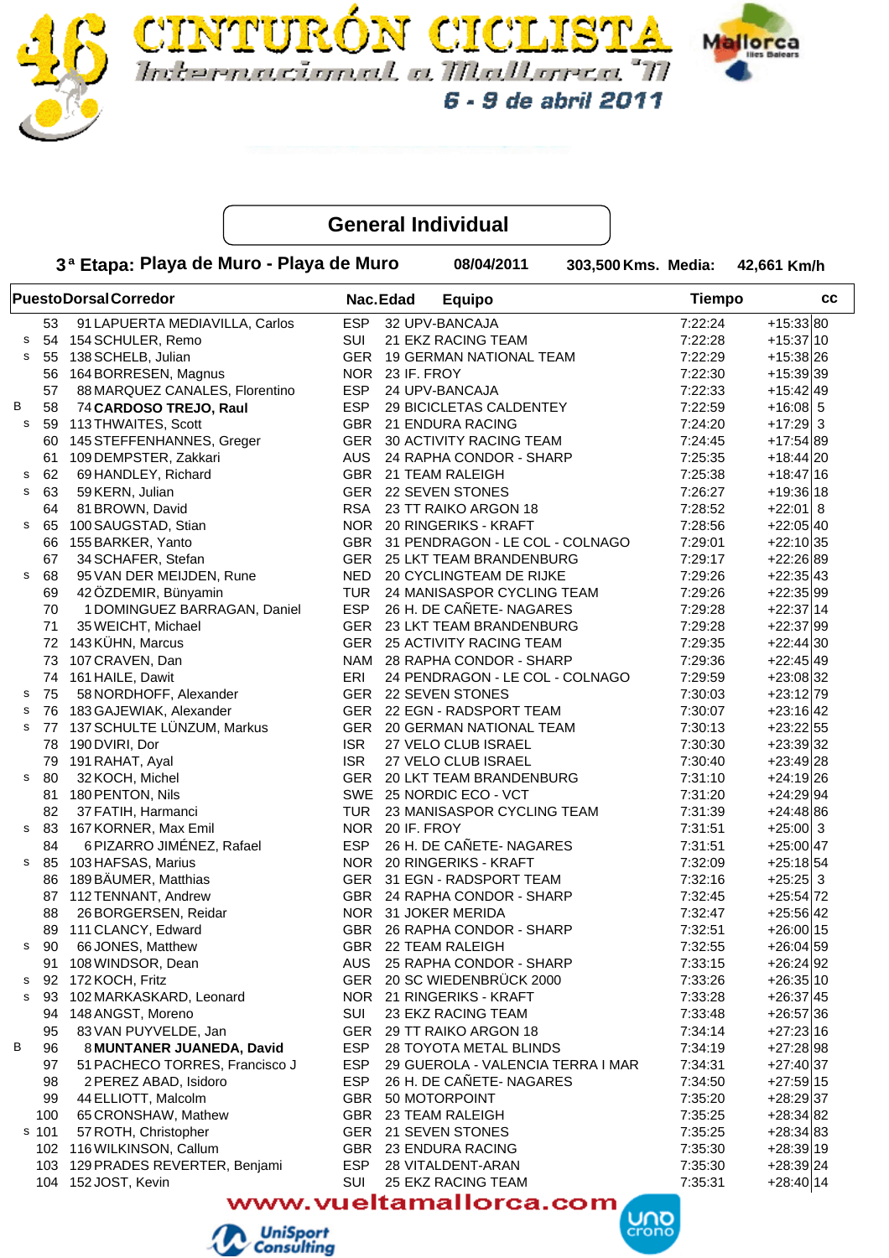



Internacional a Mallarea "M

6 - 9 de abril 2011

**PuestoDorsalCorredor Equipo Nac.Edad** Equipo  **3ª Etapa: Playa de Muro - Playa de Muro 08/04/2011 Media: Km/h Tiempo 303,500 Kms. Media: Nac.Edad cc** 53 UPV-BANCAJA 91 LAPUERTA MEDIAVILLA, Carlos ESP 32 80 7:22:24 +15:33 s 54 154 SCHULER. Remo SUI 21 EKZ RACING TEAM 7:22:28 +15:37 10 s 55 GERMAN NATIONAL TEAM 138SCHELB, Julian GER 19 26 7:22:29 +15:38 56 164 BORRESEN, Magnus 15:39 NOR 23 IF. FROY 164 BORRESEN, Magnus 16:39 139 57 88 MARQUEZ CANALES, Florentino ESP 24 UPV-BANCAJA  $7:22:33 +15:42 \mid 49$ B 58 74 **CARDOSO TREJO, Raul** ESP 29 BICICLETAS CALDENTEY 7:22:59 +16:08 5 s 59 ENDURA RACING 113 THWAITES, Scott GBR 21 3 7:24:20 +17:29 60 145 STEFFENHANNES, Greger GER 30 ACTIVITY RACING TEAM 7:24:45 +17:54 89 61 109 DEMPSTER, Zakkari AUS 24 RAPHA CONDOR - SHARP 7:25:35 +18:44 20 s 62 TEAM RALEIGH 69 HANDLEY, Richard GBR 21 16 7:25:38 +18:47 s 63 59 KERN, Julian 68 GER 22 SEVEN STONES 63 59 KERN, 19:36 18 64 81 BROWN, David RSA 23 TT RAIKO ARGON 18 7:28:52 +22:01 8 s 65 100 SAUGSTAD. Stian NOR 20 RINGERIKS - KRAFT 7:28:56 +22:05 40 66 PENDRAGON - LE COL - COLNAGO 155BARKER, Yanto GBR 31 35 7:29:01 +22:10 67 34 SCHAFER, Stefan GER 25 LKT TEAM BRANDENBURG 7:29:17 +22:26 89 s 68 95 VAN DER MEIJDEN, Rune NED 20 CYCLINGTEAM DE RIJKE 7:29:26 +22:35 43 69 42 ÖZDEMIR, Bünyamin TUR 24 MANISASPOR CYCLING TEAM 7:29:26 +22:35 99 70 1 DOMINGUEZ BARRAGAN, Daniel ESP 26 H. DE CAÑETE- NAGARES 7:29:28 +22:37 | 14 71 LKT TEAM BRANDENBURG 35 WEICHT, Michael GER 23 99 7:29:28 +22:37 72 ACTIVITY RACING TEAM 143KÜHN, Marcus CER 25 ACTIVITY RACING TEAM 143KÜHN, Marcus +22:44 73 RAPHA CONDOR - SHARP 107 CRAVEN, Dan NAM 28 49 7:29:36 +22:45 74 PENDRAGON - LE COL - COLNAGO 161 HAILE, Dawit ERI 24 32 7:29:59 +23:08 s 75 58 NORDHOFF, Alexander GER 22 SEVEN STONES 6 7:30:03 +23:12 79 s 76 183 GAJEWIAK, Alexander GER 22 EGN - RADSPORT TEAM 7:30:07 +23:16 42 s 77 137 SCHULTE LÜNZUM, Markus GER 20 GERMAN NATIONAL TEAM 137 SCHULTE LÜNZUM, Markus GER 20 GERMAN NATIONAL TEAM 78 VELO CLUB ISRAEL 190 DVIRI, Dor ISR 27 32 7:30:30 +23:39 79 VELO CLUB ISRAEL 191 RAHAT, Ayal ISR 27 28 7:30:40 +23:49 s 80 LKT TEAM BRANDENBURG 32KOCH, Michel GER 20 26 7:31:10 +24:19 81 NORDIC ECO - VCT 180PENTON, Nils SWE 25 94 7:31:20 +24:29 82 MANISASPOR CYCLING TEAM 37 FATIH, Harmanci TUR 23 86 7:31:39 +24:48 83 167 KORNER, Max Emil NOR 20 IF. FROY 168 167 KORNER, Max Emil 167 KORNER, Max Emil 167 KORNER, Max Emil 16 84 H. DE CAÑETE- NAGARES 6PIZARRO JIMÉNEZ, Rafael ESP 26 47 7:31:51 +25:00 s 85 103 HAFSAS, Marius 103 NOR 20 RINGERIKS - KRAFT 103 7:32:09 +25:18 54 86 189 BÄUMER, Matthias  $GER = 31$  EGN - RADSPORT TEAM 7:32:16 +25:25 3 87 112 TENNANT, Andrew GBR 24 RAPHA CONDOR - SHARP 7:32:45 +25:54 72 88 JOKER MERIDA 26BORGERSEN, Reidar NOR 31 42 7:32:47 +25:56 89 RAPHA CONDOR - SHARP 111 CLANCY, Edward GBR 26 15 7:32:51 +26:00 s 90 66 JONES, Matthew GBR 22 TEAM RALEIGH 66 JONES, Matthew GBR 22 TEAM RALEIGH 91 108 WINDSOR, Dean AUS 25 RAPHA CONDOR - SHARP 7:33:15 +26:24 92 s 92 172 KOCH, Fritz **172 STAR 10 GER 20 SC WIEDENBRÜCK 2000** 7:33:26 +26:35 10 s 93 102 MARKASKARD, Leonard NOR 21 RINGERIKS - KRAFT 7:33:28 +26:37 | 45 94 148 ANGST, Moreno SUI 23 EKZ RACING TEAM 7:33:48 +26:57 36 95 83 VAN PUYVELDE, Jan GER 29 TT RAIKO ARGON 18 7:34:14 +27:23 16 B 96 TOYOTA METAL BLINDS 8 **MUNTANER JUANEDA, David** ESP 28 98 7:34:19 +27:28 97 51 PACHECO TORRES, Francisco J ESP 29 GUEROLA - VALENCIA TERRA I MAR 7:34:31 +27:40 37 98 H. DE CAÑETE- NAGARES 2PEREZ ABAD, Isidoro ESP 26 15 7:34:50 +27:59 99 MOTORPOINT 44ELLIOTT, Malcolm GBR 50 37 7:35:20 +28:29 100 65 CRONSHAW, Mathew GBR 23 TEAM RALEIGH 65 CRONSHAW, Mathew GBR 23 TEAM RALEIGH s 101 S7 ROTH, Christopher GER 21 SEVEN STONES 57:35:25 +28:34 83 102 116 WILKINSON, Callum GBR 23 ENDURA RACING 102 116 WILKINSON, Callum 428:39 19 103 129 PRADES REVERTER, Benjami ESP 28 VITALDENT-ARAN 7:35:30 +28:39 +28:39 +28:39 +28:39 104 152 JOST, Kevin **108 COVERSION SUI 25 EKZ RACING TEAM** 7:35:31 +28:40 14

www.vueltamallorca.com



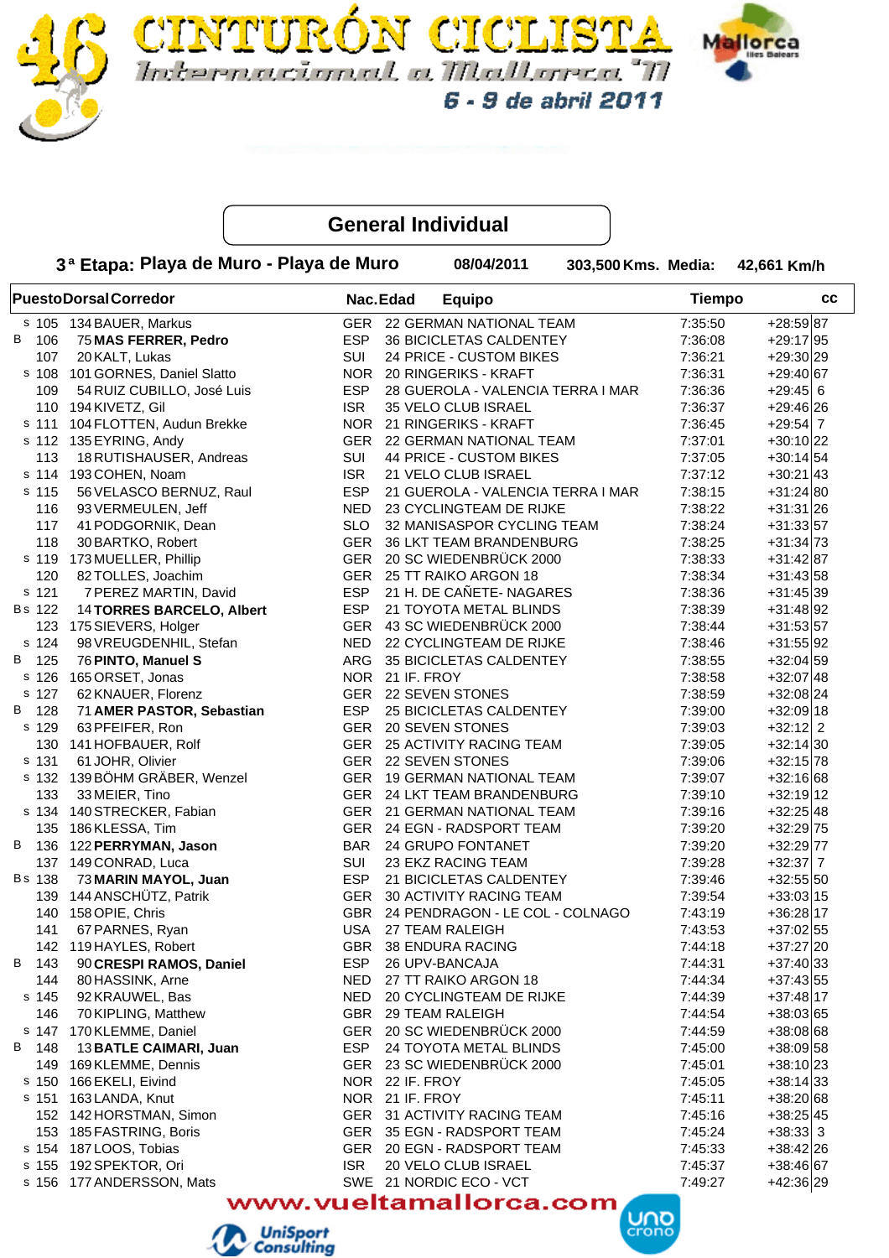



**FURÓN CICLIS** 

6 - 9 de abril 2011

Internacional a Mallanea "M

|          | 3 <sup>a</sup> Etapa: Playa de Muro - Playa de Muro |                 | 08/04/2011<br>303,500 Kms. Media: |               | 42,661 Km/h  |
|----------|-----------------------------------------------------|-----------------|-----------------------------------|---------------|--------------|
|          | <b>PuestoDorsalCorredor</b>                         | Nac.Edad        | <b>Equipo</b>                     | <b>Tiempo</b> | СC           |
|          | s 105 134 BAUER, Markus                             | GER             | 22 GERMAN NATIONAL TEAM           | 7:35:50       | $+28:59 87$  |
| B 106    | 75 MAS FERRER, Pedro                                | <b>ESP</b>      | 36 BICICLETAS CALDENTEY           | 7:36:08       | $+29:17$ 95  |
| 107      | 20 KALT, Lukas                                      | SUI             | 24 PRICE - CUSTOM BIKES           | 7:36:21       | +29:30 29    |
| s 108    | 101 GORNES, Daniel Slatto                           | <b>NOR</b>      | 20 RINGERIKS - KRAFT              | 7:36:31       | $+29:40 67$  |
| 109      | 54 RUIZ CUBILLO, José Luis                          | <b>ESP</b>      | 28 GUEROLA - VALENCIA TERRA I MAR | 7:36:36       | $+29:45$ 6   |
|          | 110 194 KIVETZ, Gil                                 | <b>ISR</b>      | <b>35 VELO CLUB ISRAEL</b>        | 7:36:37       | $+29:46$  26 |
| s 111    | 104 FLOTTEN, Audun Brekke                           | <b>NOR</b>      | 21 RINGERIKS - KRAFT              | 7:36:45       | $+29:54$ 7   |
|          | s 112 135 EYRING, Andy                              | GER             | 22 GERMAN NATIONAL TEAM           | 7:37:01       | $+30:10$  22 |
| 113      | 18 RUTISHAUSER, Andreas                             | SUI             | 44 PRICE - CUSTOM BIKES           | 7:37:05       | $+30:14 54$  |
|          | s 114 193 COHEN, Noam                               | <b>ISR</b>      | 21 VELO CLUB ISRAEL               | 7:37:12       | $+30:21$ 43  |
| s 115    | 56 VELASCO BERNUZ, Raul                             | <b>ESP</b>      | 21 GUEROLA - VALENCIA TERRA I MAR | 7:38:15       | $+31:24 80$  |
| 116      | 93 VERMEULEN, Jeff                                  | <b>NED</b>      | 23 CYCLINGTEAM DE RIJKE           | 7:38:22       | $+31:31 26$  |
| 117      | 41 PODGORNIK, Dean                                  | <b>SLO</b>      | 32 MANISASPOR CYCLING TEAM        | 7:38:24       | $+31:33 57$  |
| 118      | 30 BARTKO, Robert                                   | <b>GER</b>      | 36 LKT TEAM BRANDENBURG           | 7:38:25       | $+31:34 73$  |
| s 119    | 173 MUELLER, Phillip                                | GER             | 20 SC WIEDENBRÜCK 2000            | 7:38:33       | $+31:42 87$  |
| 120      | 82 TOLLES, Joachim                                  | GER             | 25 TT RAIKO ARGON 18              | 7:38:34       | $+31:43 58$  |
| $s$ 121  | 7 PEREZ MARTIN, David                               | ESP             | 21 H. DE CAÑETE- NAGARES          | 7:38:36       | $+31:45 39$  |
| Bs 122   | 14 TORRES BARCELO, Albert                           | <b>ESP</b>      | 21 TOYOTA METAL BLINDS            | 7:38:39       | $+31:48 92$  |
|          | 123 175 SIEVERS, Holger                             | <b>GER</b>      | 43 SC WIEDENBRÜCK 2000            | 7:38:44       | $+31:53 57$  |
| s 124    | 98 VREUGDENHIL, Stefan                              | <b>NED</b>      | 22 CYCLINGTEAM DE RIJKE           | 7:38:46       | $+31:55 92$  |
| B 125    | 76 PINTO, Manuel S                                  | ARG             | 35 BICICLETAS CALDENTEY           | 7:38:55       | $+32:04$ 59  |
| s 126    | 165 ORSET, Jonas                                    | <b>NOR</b>      | 21 IF. FROY                       | 7:38:58       | $+32:07$ 48  |
| s 127    |                                                     | GER             | 22 SEVEN STONES                   | 7:38:59       | $+32:08$  24 |
| B 128    | 62 KNAUER, Florenz<br>71 AMER PASTOR, Sebastian     | <b>ESP</b>      | 25 BICICLETAS CALDENTEY           |               | $+32:09$ 18  |
|          |                                                     |                 |                                   | 7:39:00       |              |
| s 129    | 63 PFEIFER, Ron                                     | <b>GER</b>      | 20 SEVEN STONES                   | 7:39:03       | $+32:12$ 2   |
|          | 130 141 HOFBAUER, Rolf                              | <b>GER</b>      | 25 ACTIVITY RACING TEAM           | 7:39:05       | $+32:14 30$  |
| s 131    | 61 JOHR, Olivier                                    | GER             | 22 SEVEN STONES                   | 7:39:06       | $+32:15$ 78  |
|          | s 132 139 BÖHM GRÄBER, Wenzel                       | <b>GER</b>      | <b>19 GERMAN NATIONAL TEAM</b>    | 7:39:07       | $+32:16 68$  |
| 133      | 33 MEIER, Tino                                      | <b>GER</b>      | 24 LKT TEAM BRANDENBURG           | 7:39:10       | $+32:19$ 12  |
| s 134    | 140 STRECKER, Fabian                                | GER             | 21 GERMAN NATIONAL TEAM           | 7:39:16       | $+32:25 48$  |
|          | 135 186 KLESSA, Tim                                 | <b>GER</b>      | 24 EGN - RADSPORT TEAM            | 7:39:20       | $+32:29$ 75  |
|          | B 136 122 PERRYMAN, Jason                           | BAR             | 24 GRUPO FONTANET                 | 7:39:20       | $+32:29$ 77  |
|          | 137 149 CONRAD, Luca                                | SUI             | 23 EKZ RACING TEAM                | 7:39:28       | $+32:37$ 7   |
| Bs 138   | 73 MARIN MAYOL, Juan                                | <b>ESP</b>      | 21 BICICLETAS CALDENTEY           | 7:39:46       | $+32:55 50$  |
|          | 139 144 ANSCHÜTZ, Patrik                            | <b>GER</b>      | <b>30 ACTIVITY RACING TEAM</b>    | 7:39:54       | $+33:03 15$  |
|          | 140 158 OPIE, Chris                                 | <b>GBR</b>      | 24 PENDRAGON - LE COL - COLNAGO   | 7:43:19       | $+36:28$ 17  |
| 141      | 67 PARNES, Ryan                                     |                 | USA 27 TEAM RALEIGH               | 7:43:53       | $+37:02$ 55  |
|          | 142 119 HAYLES, Robert                              | GBR             | <b>38 ENDURA RACING</b>           | 7:44:18       | $+37:27$  20 |
| В<br>143 | 90 CRESPI RAMOS, Daniel                             | <b>ESP</b>      | 26 UPV-BANCAJA                    | 7:44:31       | $+37:40 33$  |
| 144      | 80 HASSINK, Arne                                    | NED             | 27 TT RAIKO ARGON 18              | 7:44:34       | $+37:43 55$  |
| s 145    | 92 KRAUWEL, Bas                                     | NED             | 20 CYCLINGTEAM DE RIJKE           | 7:44:39       | $+37:48$ 17  |
| 146      | 70 KIPLING, Matthew                                 | GBR             | 29 TEAM RALEIGH                   | 7:44:54       | $+38:03 65$  |
|          | s 147 170 KLEMME, Daniel                            | GER             | 20 SC WIEDENBRÜCK 2000            | 7:44:59       | $+38:08 68$  |
| B 148    | 13 BATLE CAIMARI, Juan                              | ESP             | 24 TOYOTA METAL BLINDS            | 7:45:00       | $+38:09$ 58  |
|          | 149 169 KLEMME, Dennis                              | GER             | 23 SC WIEDENBRÜCK 2000            | 7:45:01       | $+38:10 23$  |
|          | s 150 166 EKELI, Eivind                             | NOR 22 IF. FROY |                                   | 7:45:05       | $+38:14 33$  |
| s 151    | 163 LANDA, Knut                                     | NOR 21 IF. FROY |                                   | 7:45:11       | +38:20 68    |
|          | 152 142 HORSTMAN, Simon                             | <b>GER</b>      | 31 ACTIVITY RACING TEAM           | 7:45:16       | $+38:25 45$  |
|          | 153 185 FASTRING, Boris                             | GER             | 35 EGN - RADSPORT TEAM            | 7:45:24       | $+38:33$ 3   |
|          | s 154 187 LOOS, Tobias                              |                 | GER 20 EGN - RADSPORT TEAM        | 7:45:33       | $+38:42 26$  |
| s 155    | 192 SPEKTOR, Ori                                    | <b>ISR</b>      | 20 VELO CLUB ISRAEL               | 7:45:37       | $+38:46 67$  |
|          | s 156 177 ANDERSSON, Mats                           |                 | SWE 21 NORDIC ECO - VCT           | 7:49:27       | +42:36 29    |

www.vueltamallorca.com

**UOD** 

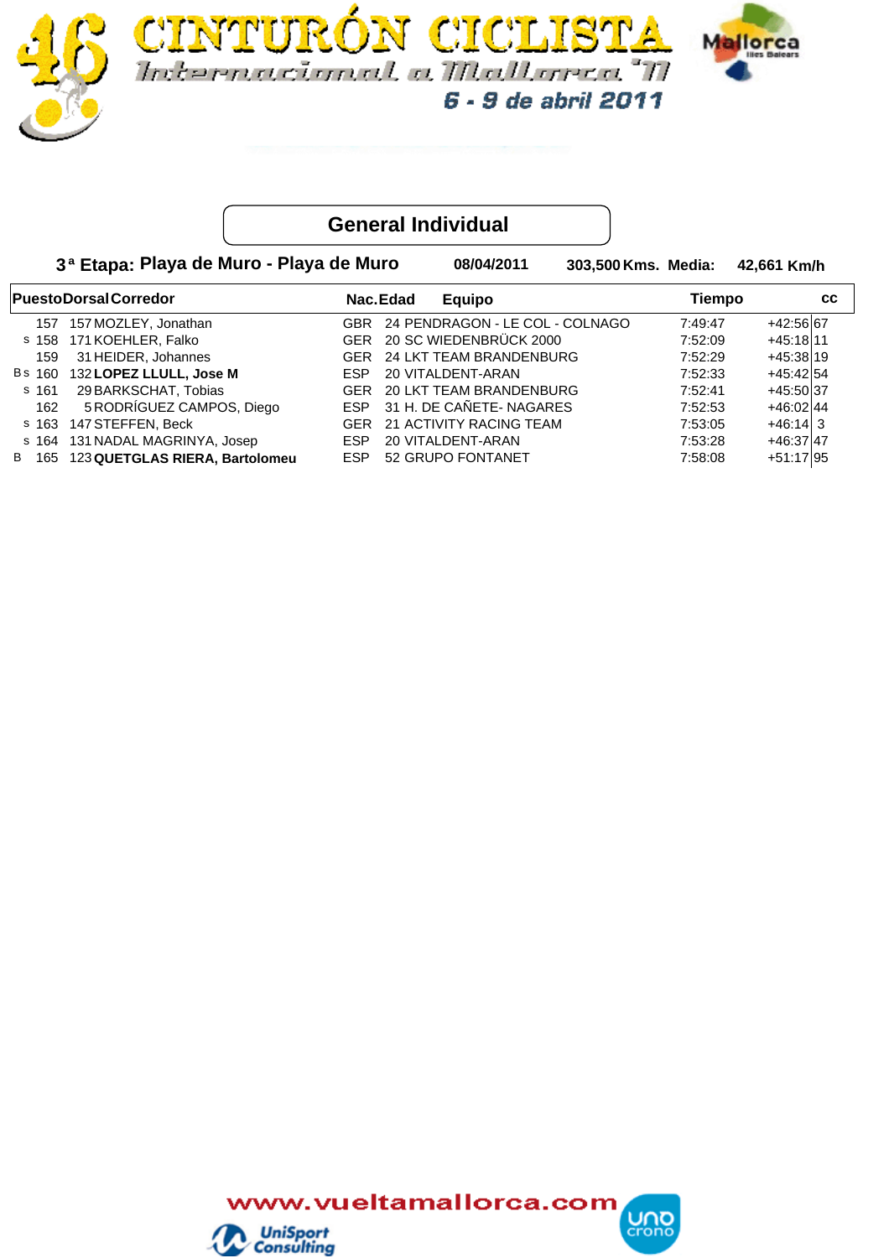

 **3ª Etapa: Playa de Muro - Playa de Muro 08/04/2011 Media: Km/h 303,500 Kms. Media:** 

| <b>PuestoDorsalCorredor</b> |                                    |            | Nac.Edad<br><b>Equipo</b>           | Tiempo  |             | <b>CC</b> |
|-----------------------------|------------------------------------|------------|-------------------------------------|---------|-------------|-----------|
| 157                         | 157 MOZLEY, Jonathan               |            | GBR 24 PENDRAGON - LE COL - COLNAGO | 7:49:47 | +42:56 67   |           |
|                             | s 158 171 KOEHLER, Falko           |            | GER 20 SC WIEDENBRÜCK 2000          | 7:52:09 | +45:18 11   |           |
| 159                         | 31 HEIDER, Johannes                |            | GER 24 LKT TEAM BRANDENBURG         | 7:52:29 | +45:38 19   |           |
| Bs 160                      | 132 LOPEZ LLULL, Jose M            | <b>ESP</b> | 20 VITALDENT-ARAN                   | 7:52:33 | +45:4254    |           |
| $s$ 161                     | 29 BARKSCHAT, Tobias               |            | GER 20 LKT TEAM BRANDENBURG         | 7:52:41 | +45:50 37   |           |
| 162                         | 5 RODRÍGUEZ CAMPOS, Diego          |            | ESP 31 H. DE CAÑETE- NAGARES        | 7:52:53 | $+46:02144$ |           |
| s 163                       | 147 STEFFEN, Beck                  |            | GER 21 ACTIVITY RACING TEAM         | 7:53:05 | $+46:14$ 3  |           |
|                             | s 164 131 NADAL MAGRINYA, Josep    | <b>ESP</b> | 20 VITALDENT-ARAN                   | 7:53:28 | +46:37 47   |           |
| B                           | 165 123 QUETGLAS RIERA, Bartolomeu | ESP        | 52 GRUPO FONTANET                   | 7:58:08 | +51:17 95   |           |

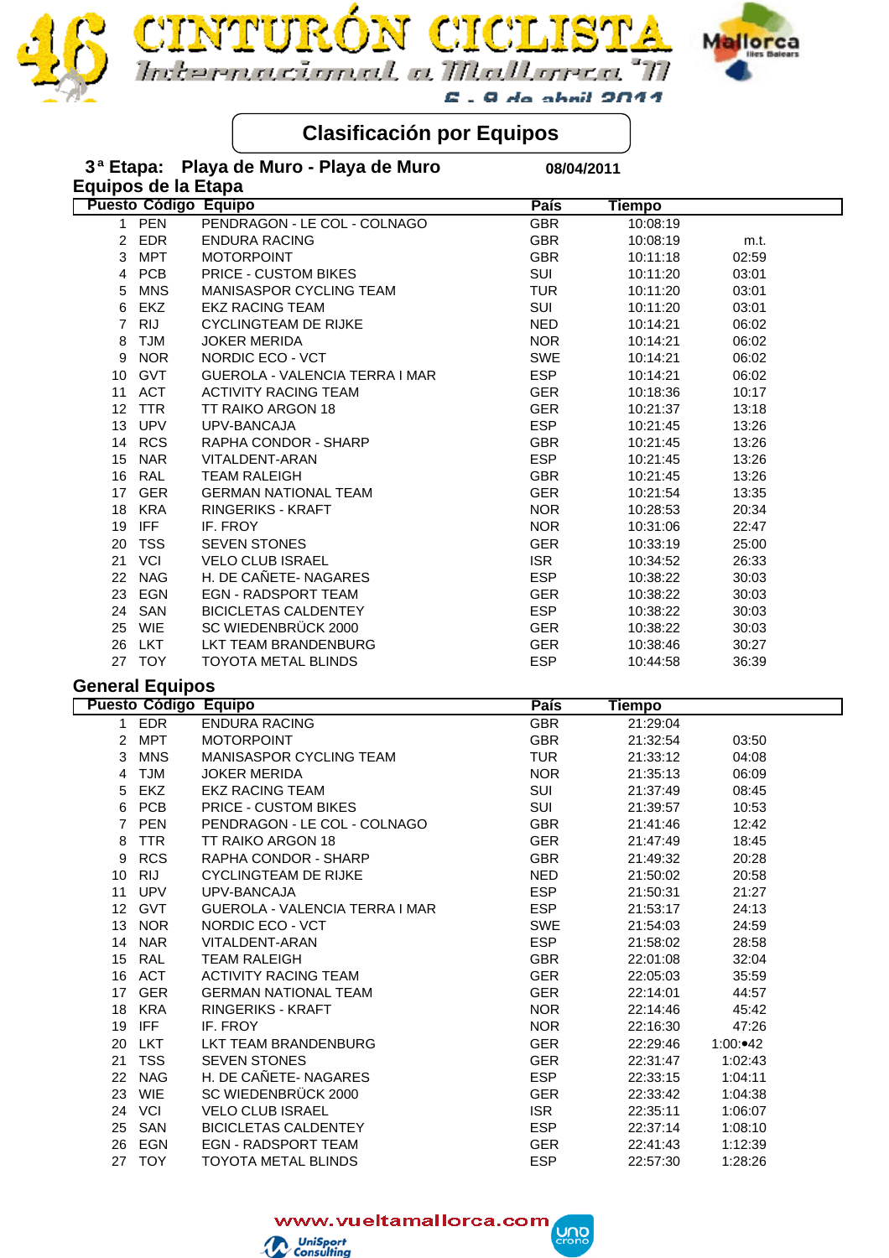

## **Clasificación por Equipos**

**NTURÓN CICLIST** 

| 3 <sup>a</sup> Etapa:  |            | Playa de Muro - Playa de Muro  | 08/04/2011  |               |       |
|------------------------|------------|--------------------------------|-------------|---------------|-------|
| Equipos de la Etapa    |            |                                |             |               |       |
|                        |            | <b>Puesto Código Equipo</b>    | País        | <b>Tiempo</b> |       |
| $\mathbf 1$            | <b>PEN</b> | PENDRAGON - LE COL - COLNAGO   | <b>GBR</b>  | 10:08:19      |       |
| $\overline{2}$         | <b>EDR</b> | <b>ENDURA RACING</b>           | <b>GBR</b>  | 10:08:19      | m.t.  |
| 3                      | <b>MPT</b> | <b>MOTORPOINT</b>              | <b>GBR</b>  | 10:11:18      | 02:59 |
| $\overline{4}$         | <b>PCB</b> | <b>PRICE - CUSTOM BIKES</b>    | SUI         | 10:11:20      | 03:01 |
| 5                      | <b>MNS</b> | MANISASPOR CYCLING TEAM        | <b>TUR</b>  | 10:11:20      | 03:01 |
| 6                      | <b>EKZ</b> | <b>EKZ RACING TEAM</b>         | SUI         | 10:11:20      | 03:01 |
| $\overline{7}$         | <b>RIJ</b> | <b>CYCLINGTEAM DE RIJKE</b>    | <b>NED</b>  | 10:14:21      | 06:02 |
| 8                      | <b>TJM</b> | <b>JOKER MERIDA</b>            | <b>NOR</b>  | 10:14:21      | 06:02 |
| 9                      | <b>NOR</b> | NORDIC ECO - VCT               | <b>SWE</b>  | 10:14:21      | 06:02 |
| 10                     | <b>GVT</b> | GUEROLA - VALENCIA TERRA I MAR | <b>ESP</b>  | 10:14:21      | 06:02 |
| 11                     | <b>ACT</b> | <b>ACTIVITY RACING TEAM</b>    | <b>GER</b>  | 10:18:36      | 10:17 |
| $12 \overline{ }$      | <b>TTR</b> | TT RAIKO ARGON 18              | <b>GER</b>  | 10:21:37      | 13:18 |
| 13                     | <b>UPV</b> | UPV-BANCAJA                    | <b>ESP</b>  | 10:21:45      | 13:26 |
|                        | 14 RCS     | RAPHA CONDOR - SHARP           | <b>GBR</b>  | 10:21:45      | 13:26 |
|                        | 15 NAR     | VITALDENT-ARAN                 | <b>ESP</b>  | 10:21:45      | 13:26 |
|                        | 16 RAL     | <b>TEAM RALEIGH</b>            | <b>GBR</b>  | 10:21:45      | 13:26 |
| 17 <sup>2</sup>        | <b>GER</b> | <b>GERMAN NATIONAL TEAM</b>    | <b>GER</b>  | 10:21:54      | 13:35 |
| 18                     | <b>KRA</b> | <b>RINGERIKS - KRAFT</b>       | <b>NOR</b>  | 10:28:53      | 20:34 |
| 19                     | IFF        | IF. FROY                       | <b>NOR</b>  | 10:31:06      | 22:47 |
| 20                     | <b>TSS</b> | <b>SEVEN STONES</b>            | <b>GER</b>  | 10:33:19      | 25:00 |
| 21                     | VCI        | <b>VELO CLUB ISRAEL</b>        | <b>ISR</b>  | 10:34:52      | 26:33 |
| 22                     | <b>NAG</b> | H. DE CAÑETE- NAGARES          | <b>ESP</b>  | 10:38:22      | 30:03 |
| 23                     | <b>EGN</b> | <b>EGN - RADSPORT TEAM</b>     | <b>GER</b>  | 10:38:22      | 30:03 |
| 24                     | SAN        | <b>BICICLETAS CALDENTEY</b>    | <b>ESP</b>  | 10:38:22      | 30:03 |
| 25                     | WIE        | SC WIEDENBRÜCK 2000            | <b>GER</b>  | 10:38:22      | 30:03 |
| 26                     | <b>LKT</b> | LKT TEAM BRANDENBURG           | <b>GER</b>  | 10:38:46      | 30:27 |
|                        | 27 TOY     | <b>TOYOTA METAL BLINDS</b>     | <b>ESP</b>  | 10:44:58      | 36:39 |
| <b>General Equipos</b> |            |                                |             |               |       |
|                        |            | <b>Puesto Código Equipo</b>    | <b>País</b> | <b>Tiempo</b> |       |
| 1.                     | <b>EDR</b> | <b>ENDURA RACING</b>           | <b>GBR</b>  | 21:29:04      |       |
| $\overline{2}$         | <b>MPT</b> | <b>MOTORPOINT</b>              | <b>GBR</b>  | 21:32:54      | 03:50 |
|                        |            |                                | -- 1 m      | .             |       |

| 1               | EDR.       | ENDURA RACING                  | GBR.       | 21:29:04 |          |
|-----------------|------------|--------------------------------|------------|----------|----------|
| $\mathbf{2}$    | <b>MPT</b> | <b>MOTORPOINT</b>              | <b>GBR</b> | 21:32:54 | 03:50    |
| 3               | <b>MNS</b> | MANISASPOR CYCLING TEAM        | TUR        | 21:33:12 | 04:08    |
| 4               | <b>TJM</b> | <b>JOKER MERIDA</b>            | <b>NOR</b> | 21:35:13 | 06:09    |
| 5               | EKZ        | EKZ RACING TEAM                | SUI        | 21:37:49 | 08:45    |
| 6               | <b>PCB</b> | <b>PRICE - CUSTOM BIKES</b>    | SUI        | 21:39:57 | 10:53    |
| $7^{\circ}$     | <b>PEN</b> | PENDRAGON - LE COL - COLNAGO   | <b>GBR</b> | 21:41:46 | 12:42    |
| 8               | <b>TTR</b> | TT RAIKO ARGON 18              | <b>GER</b> | 21:47:49 | 18:45    |
| 9               | <b>RCS</b> | RAPHA CONDOR - SHARP           | <b>GBR</b> | 21:49:32 | 20:28    |
| 10              | <b>RIJ</b> | CYCLINGTEAM DE RIJKE           | NED        | 21:50:02 | 20:58    |
| 11              | <b>UPV</b> | UPV-BANCAJA                    | ESP        | 21:50:31 | 21:27    |
| 12 <sup>7</sup> | <b>GVT</b> | GUEROLA - VALENCIA TERRA I MAR | <b>ESP</b> | 21:53:17 | 24:13    |
|                 | 13 NOR     | NORDIC ECO - VCT               | SWE        | 21:54:03 | 24:59    |
|                 | 14 NAR     | VITALDENT-ARAN                 | ESP        | 21:58:02 | 28:58    |
| 15              | RAL        | <b>TEAM RALEIGH</b>            | <b>GBR</b> | 22:01:08 | 32:04    |
| 16              | ACT        | ACTIVITY RACING TEAM           | <b>GER</b> | 22:05:03 | 35:59    |
| 17 <sup>1</sup> | <b>GER</b> | GERMAN NATIONAL TEAM           | <b>GER</b> | 22:14:01 | 44:57    |
| 18              | <b>KRA</b> | <b>RINGERIKS - KRAFT</b>       | <b>NOR</b> | 22:14:46 | 45:42    |
| 19              | IFF.       | IF. FROY                       | <b>NOR</b> | 22:16:30 | 47:26    |
| 20              | <b>LKT</b> | LKT TEAM BRANDENBURG           | <b>GER</b> | 22:29:46 | 1:00:●42 |
| 21              | <b>TSS</b> | <b>SEVEN STONES</b>            | <b>GER</b> | 22:31:47 | 1:02:43  |
|                 | 22 NAG     | H. DE CAÑETE-NAGARES           | <b>ESP</b> | 22:33:15 | 1:04:11  |
| 23              | <b>WIE</b> | SC WIEDENBRÜCK 2000            | <b>GER</b> | 22:33:42 | 1:04:38  |
|                 | 24 VCI     | <b>VELO CLUB ISRAEL</b>        | <b>ISR</b> | 22:35:11 | 1:06:07  |
| 25              | SAN        | <b>BICICLETAS CALDENTEY</b>    | ESP        | 22:37:14 | 1:08:10  |
| 26              | EGN        | EGN - RADSPORT TEAM            | <b>GER</b> | 22:41:43 | 1:12:39  |
|                 | 27 TOY     | <b>TOYOTA METAL BLINDS</b>     | <b>ESP</b> | 22:57:30 | 1:28:26  |

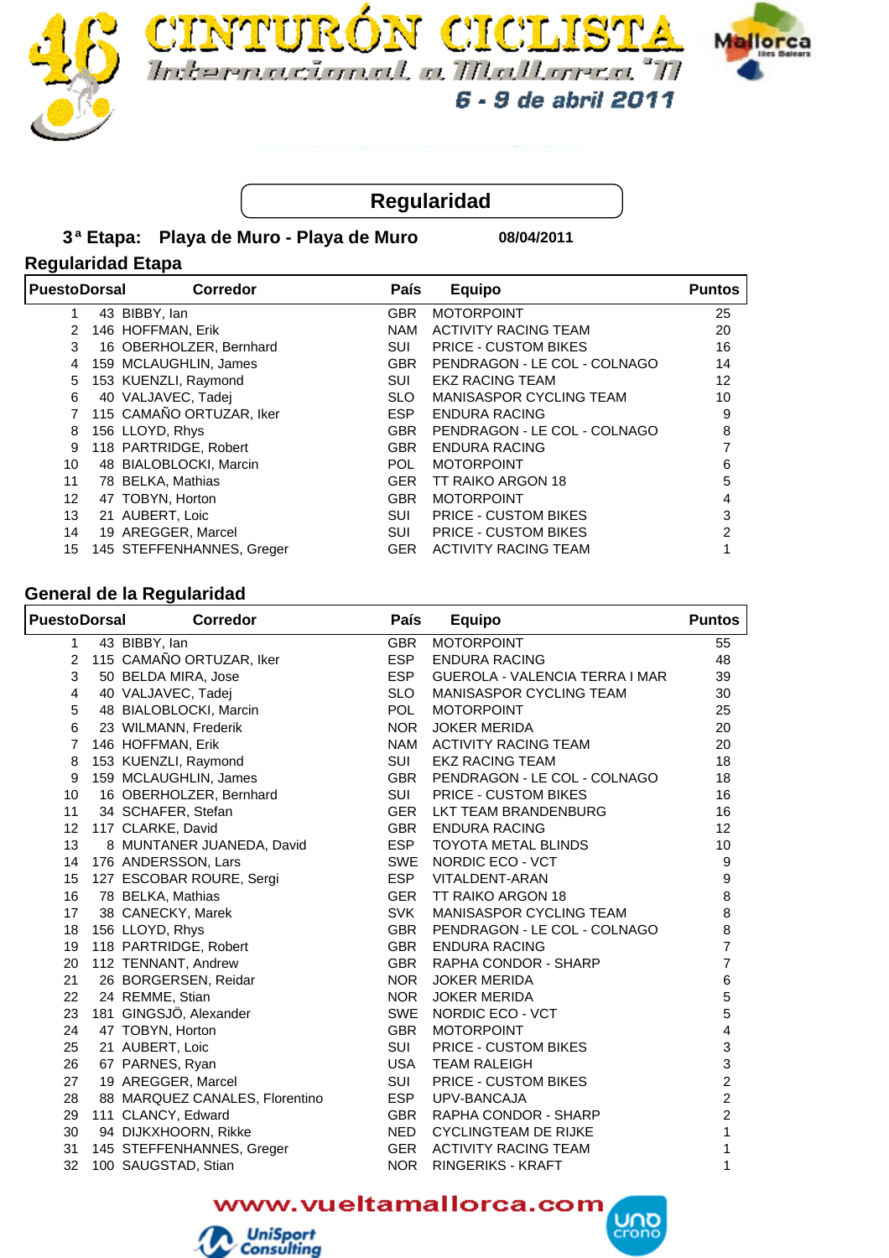





## **Regularidad**

#### **3 Playa de Muro - Playa de Muro ª Etapa: 08/04/2011**

## **Regularidad Etapa**

| <b>Corredor</b> | <b>País</b>                                                                                                                                                                                                                                                                                                                                                                  | <b>Equipo</b>                | <b>Puntos</b> |
|-----------------|------------------------------------------------------------------------------------------------------------------------------------------------------------------------------------------------------------------------------------------------------------------------------------------------------------------------------------------------------------------------------|------------------------------|---------------|
|                 | GBR.                                                                                                                                                                                                                                                                                                                                                                         | <b>MOTORPOINT</b>            | 25            |
|                 | <b>NAM</b>                                                                                                                                                                                                                                                                                                                                                                   | <b>ACTIVITY RACING TEAM</b>  | 20            |
|                 | SUI                                                                                                                                                                                                                                                                                                                                                                          | <b>PRICE - CUSTOM BIKES</b>  | 16            |
|                 | <b>GBR</b>                                                                                                                                                                                                                                                                                                                                                                   | PENDRAGON - LE COL - COLNAGO | 14            |
|                 | SUI                                                                                                                                                                                                                                                                                                                                                                          | <b>EKZ RACING TEAM</b>       | 12            |
|                 | SLO.                                                                                                                                                                                                                                                                                                                                                                         | MANISASPOR CYCLING TEAM      | 10            |
|                 | <b>ESP</b>                                                                                                                                                                                                                                                                                                                                                                   | <b>ENDURA RACING</b>         | 9             |
|                 | <b>GBR</b>                                                                                                                                                                                                                                                                                                                                                                   | PENDRAGON - LE COL - COLNAGO | 8             |
|                 | <b>GBR</b>                                                                                                                                                                                                                                                                                                                                                                   | <b>ENDURA RACING</b>         |               |
|                 | POL.                                                                                                                                                                                                                                                                                                                                                                         | <b>MOTORPOINT</b>            | 6             |
|                 | <b>GER</b>                                                                                                                                                                                                                                                                                                                                                                   | <b>TT RAIKO ARGON 18</b>     | 5             |
|                 | <b>GBR</b>                                                                                                                                                                                                                                                                                                                                                                   | <b>MOTORPOINT</b>            | 4             |
|                 | SUI                                                                                                                                                                                                                                                                                                                                                                          | <b>PRICE - CUSTOM BIKES</b>  | 3             |
|                 | <b>SUI</b>                                                                                                                                                                                                                                                                                                                                                                   | <b>PRICE - CUSTOM BIKES</b>  | 2             |
|                 | <b>GER</b>                                                                                                                                                                                                                                                                                                                                                                   | <b>ACTIVITY RACING TEAM</b>  |               |
|                 | <b>PuestoDorsal</b><br>43 BIBBY, lan<br>146 HOFFMAN, Erik<br>16 OBERHOLZER, Bernhard<br>159 MCLAUGHLIN, James<br>153 KUENZLI, Raymond<br>40 VALJAVEC, Tadej<br>115 CAMAÑO ORTUZAR, Iker<br>156 LLOYD, Rhys<br>118 PARTRIDGE, Robert<br>48 BIALOBLOCKI, Marcin<br>78 BELKA, Mathias<br>47 TOBYN, Horton<br>21 AUBERT, Loic<br>19 AREGGER, Marcel<br>145 STEFFENHANNES, Greger |                              |               |

#### **General de la Regularidad**

| <b>PuestoDorsal</b> | <b>Corredor</b>                | País       | <b>Equipo</b>                         | <b>Puntos</b>             |
|---------------------|--------------------------------|------------|---------------------------------------|---------------------------|
| 1                   | 43 BIBBY, lan                  | <b>GBR</b> | <b>MOTORPOINT</b>                     | 55                        |
| 2                   | 115 CAMAÑO ORTUZAR, Iker       | <b>ESP</b> | <b>ENDURA RACING</b>                  | 48                        |
| 3                   | 50 BELDA MIRA, Jose            | <b>ESP</b> | <b>GUEROLA - VALENCIA TERRA I MAR</b> | 39                        |
| 4                   | 40 VALJAVEC, Tadej             | <b>SLO</b> | MANISASPOR CYCLING TEAM               | 30                        |
| 5                   | 48 BIALOBLOCKI, Marcin         | <b>POL</b> | <b>MOTORPOINT</b>                     | 25                        |
| 6                   | 23 WILMANN, Frederik           | <b>NOR</b> | <b>JOKER MERIDA</b>                   | 20                        |
| $\overline{7}$      | 146 HOFFMAN, Erik              | <b>NAM</b> | <b>ACTIVITY RACING TEAM</b>           | 20                        |
| 8                   | 153 KUENZLI, Raymond           | <b>SUI</b> | <b>EKZ RACING TEAM</b>                | 18                        |
| 9                   | 159 MCLAUGHLIN, James          | GBR        | PENDRAGON - LE COL - COLNAGO          | 18                        |
| 10                  | 16 OBERHOLZER, Bernhard        | SUI        | <b>PRICE - CUSTOM BIKES</b>           | 16                        |
| 11                  | 34 SCHAFER, Stefan             | <b>GER</b> | LKT TEAM BRANDENBURG                  | 16                        |
| 12                  | 117 CLARKE, David              | <b>GBR</b> | <b>ENDURA RACING</b>                  | 12                        |
| 13                  | 8 MUNTANER JUANEDA, David      | <b>ESP</b> | <b>TOYOTA METAL BLINDS</b>            | 10                        |
| 14                  | 176 ANDERSSON, Lars            | SWE        | NORDIC ECO - VCT                      | 9                         |
| 15                  | 127 ESCOBAR ROURE, Sergi       | <b>ESP</b> | VITALDENT-ARAN                        | $\boldsymbol{9}$          |
| 16                  | 78 BELKA, Mathias              | <b>GER</b> | TT RAIKO ARGON 18                     | $\bf 8$                   |
| 17                  | 38 CANECKY, Marek              | <b>SVK</b> | MANISASPOR CYCLING TEAM               | 8                         |
| 18                  | 156 LLOYD, Rhys                | <b>GBR</b> | PENDRAGON - LE COL - COLNAGO          | 8                         |
| 19                  | 118 PARTRIDGE, Robert          | <b>GBR</b> | <b>ENDURA RACING</b>                  | $\overline{7}$            |
| 20                  | 112 TENNANT, Andrew            | <b>GBR</b> | RAPHA CONDOR - SHARP                  | $\overline{7}$            |
| 21                  | 26 BORGERSEN, Reidar           | <b>NOR</b> | <b>JOKER MERIDA</b>                   | 6                         |
| 22                  | 24 REMME, Stian                | <b>NOR</b> | <b>JOKER MERIDA</b>                   | 5                         |
| 23                  | 181 GINGSJÖ, Alexander         | <b>SWE</b> | NORDIC ECO - VCT                      | 5                         |
| 24                  | 47 TOBYN, Horton               | <b>GBR</b> | <b>MOTORPOINT</b>                     | 4                         |
| 25                  | 21 AUBERT, Loic                | <b>SUI</b> | <b>PRICE - CUSTOM BIKES</b>           | $\ensuremath{\mathsf{3}}$ |
| 26                  | 67 PARNES, Ryan                | <b>USA</b> | <b>TEAM RALEIGH</b>                   | 3                         |
| 27                  | 19 AREGGER, Marcel             | <b>SUI</b> | <b>PRICE - CUSTOM BIKES</b>           | $\overline{c}$            |
| 28                  | 88 MARQUEZ CANALES, Florentino | ESP        | UPV-BANCAJA                           | $\overline{2}$            |
| 29                  | 111 CLANCY, Edward             | <b>GBR</b> | RAPHA CONDOR - SHARP                  | $\overline{2}$            |
| 30                  | 94 DIJKXHOORN, Rikke           | <b>NED</b> | <b>CYCLINGTEAM DE RIJKE</b>           | 1                         |
| 31                  | 145 STEFFENHANNES, Greger      | GER        | ACTIVITY RACING TEAM                  | 1                         |
| 32                  | 100 SAUGSTAD, Stian            |            | NOR RINGERIKS - KRAFT                 | 1                         |



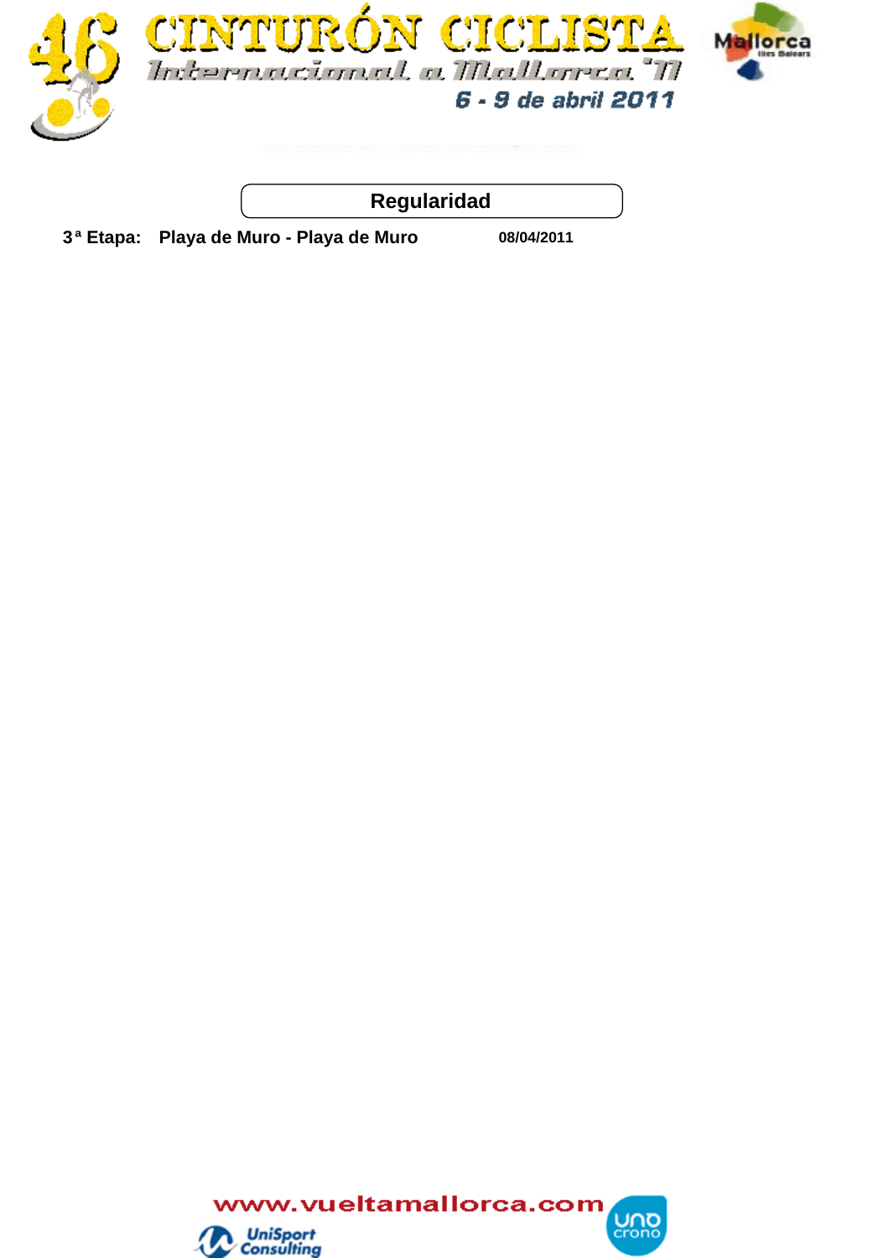



**Regularidad**

 **3 Playa de Muro - Playa de Muro ª Etapa: 08/04/2011**

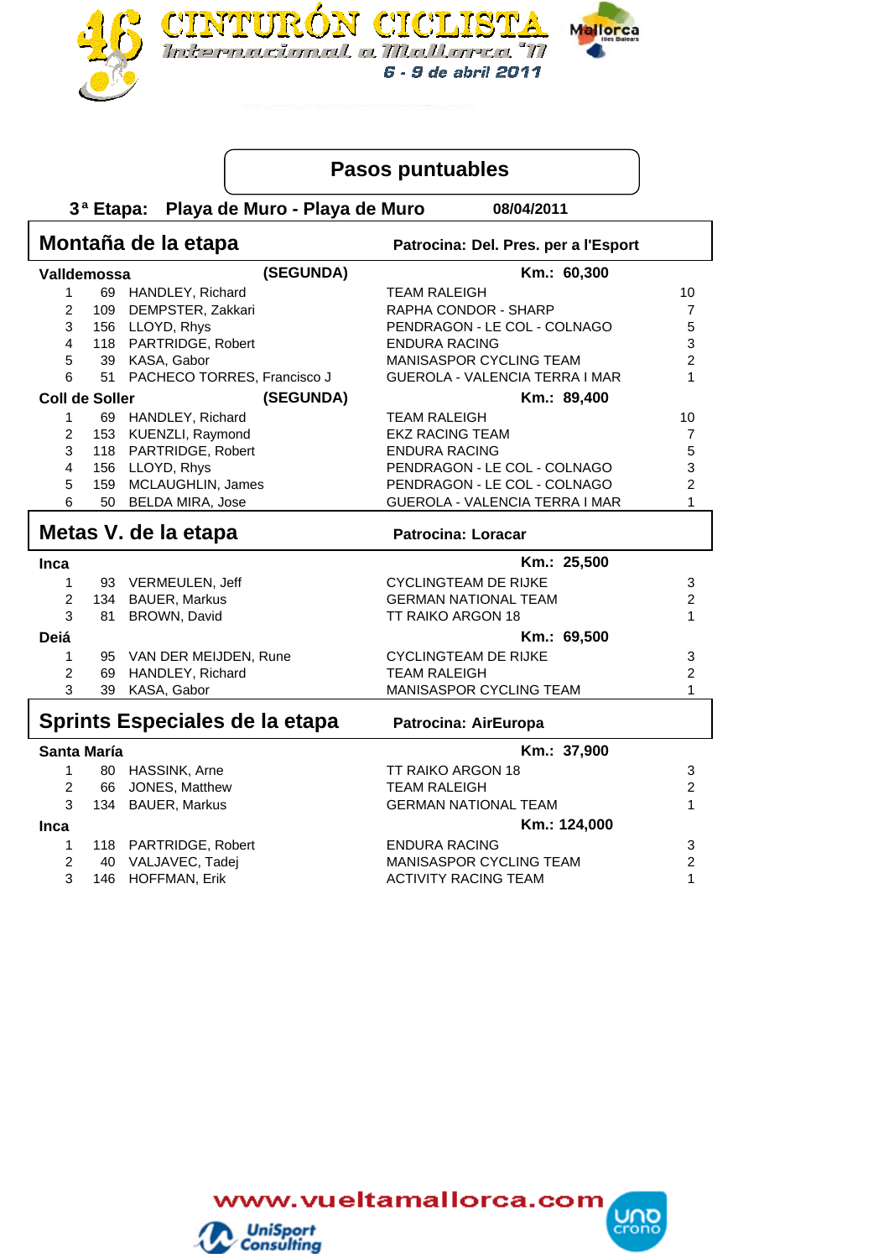

## **Pasos puntuables**

 **3 Playa de Muro - Playa de Muro ª Etapa: 08/04/2011**

|                                                        |                                                   | Montaña de la etapa                    | Patrocina: Del. Pres. per a l'Esport               |                           |  |  |  |
|--------------------------------------------------------|---------------------------------------------------|----------------------------------------|----------------------------------------------------|---------------------------|--|--|--|
| Valldemossa                                            |                                                   |                                        | (SEGUNDA)<br>Km.: 60,300                           |                           |  |  |  |
| $\mathbf{1}$                                           |                                                   | 69 HANDLEY, Richard                    | <b>TEAM RALEIGH</b>                                | 10                        |  |  |  |
| $\overline{2}$                                         |                                                   | 109 DEMPSTER, Zakkari                  | RAPHA CONDOR - SHARP                               | $\overline{7}$            |  |  |  |
| 3                                                      |                                                   | 156 LLOYD, Rhys                        | PENDRAGON - LE COL - COLNAGO                       | 5                         |  |  |  |
| $\overline{4}$                                         |                                                   | 118 PARTRIDGE, Robert                  | <b>ENDURA RACING</b>                               | $\ensuremath{\mathsf{3}}$ |  |  |  |
| 5                                                      |                                                   | 39 KASA, Gabor                         | <b>MANISASPOR CYCLING TEAM</b>                     | $\overline{2}$            |  |  |  |
| 6                                                      | 51                                                | PACHECO TORRES, Francisco J            | GUEROLA - VALENCIA TERRA I MAR                     | 1                         |  |  |  |
| <b>Coll de Soller</b>                                  |                                                   |                                        | (SEGUNDA)<br>Km.: 89,400                           |                           |  |  |  |
| $\mathbf{1}$                                           |                                                   | 69 HANDLEY, Richard                    | <b>TEAM RALEIGH</b>                                | 10                        |  |  |  |
| $\overline{2}$                                         |                                                   | 153 KUENZLI, Raymond                   | <b>EKZ RACING TEAM</b>                             | $\overline{7}$            |  |  |  |
| 3                                                      |                                                   | 118 PARTRIDGE, Robert                  | <b>ENDURA RACING</b>                               | 5                         |  |  |  |
| $\overline{4}$                                         |                                                   | 156 LLOYD, Rhys                        | PENDRAGON - LE COL - COLNAGO                       | 3                         |  |  |  |
| 5                                                      |                                                   | 159 MCLAUGHLIN, James                  | PENDRAGON - LE COL - COLNAGO                       | $\overline{2}$            |  |  |  |
| 6                                                      | 50                                                | BELDA MIRA, Jose                       | GUEROLA - VALENCIA TERRA I MAR                     | 1                         |  |  |  |
|                                                        | Metas V. de la etapa<br><b>Patrocina: Loracar</b> |                                        |                                                    |                           |  |  |  |
|                                                        |                                                   |                                        |                                                    |                           |  |  |  |
| Inca                                                   |                                                   |                                        | Km.: 25,500                                        |                           |  |  |  |
| 1                                                      | 93                                                | VERMEULEN, Jeff                        | <b>CYCLINGTEAM DE RIJKE</b>                        | 3                         |  |  |  |
| $\overline{2}$                                         |                                                   | 134 BAUER, Markus                      | <b>GERMAN NATIONAL TEAM</b>                        | $\overline{c}$            |  |  |  |
| 3                                                      | 81                                                | BROWN, David                           | TT RAIKO ARGON 18                                  | $\mathbf{1}$              |  |  |  |
| <b>Deiá</b>                                            |                                                   |                                        | Km.: 69,500                                        |                           |  |  |  |
| 1                                                      |                                                   | 95 VAN DER MEIJDEN, Rune               | <b>CYCLINGTEAM DE RIJKE</b>                        | 3                         |  |  |  |
| $\overline{2}$                                         | 69                                                | HANDLEY, Richard                       | <b>TEAM RALEIGH</b>                                | $\overline{c}$            |  |  |  |
| 3                                                      | 39                                                | KASA, Gabor                            | MANISASPOR CYCLING TEAM                            | 1                         |  |  |  |
| Sprints Especiales de la etapa<br>Patrocina: AirEuropa |                                                   |                                        |                                                    |                           |  |  |  |
|                                                        |                                                   |                                        | Km.: 37,900                                        |                           |  |  |  |
| Santa María                                            |                                                   |                                        |                                                    |                           |  |  |  |
| $\mathbf{1}$                                           |                                                   | 80 HASSINK, Arne                       | TT RAIKO ARGON 18                                  | 3                         |  |  |  |
| $\overline{2}$<br>3                                    |                                                   | 66 JONES, Matthew<br>134 BAUER, Markus | <b>TEAM RALEIGH</b><br><b>GERMAN NATIONAL TEAM</b> | 2<br>1                    |  |  |  |
|                                                        |                                                   |                                        |                                                    |                           |  |  |  |
| <b>Inca</b>                                            |                                                   |                                        | Km.: 124,000                                       |                           |  |  |  |
| 1                                                      |                                                   | 118 PARTRIDGE, Robert                  | <b>ENDURA RACING</b>                               | 3                         |  |  |  |
| $\overline{c}$                                         | 40                                                | VALJAVEC, Tadej                        | MANISASPOR CYCLING TEAM                            | $\overline{c}$            |  |  |  |
| 3                                                      | 146                                               | HOFFMAN, Erik                          | <b>ACTIVITY RACING TEAM</b>                        | 1                         |  |  |  |